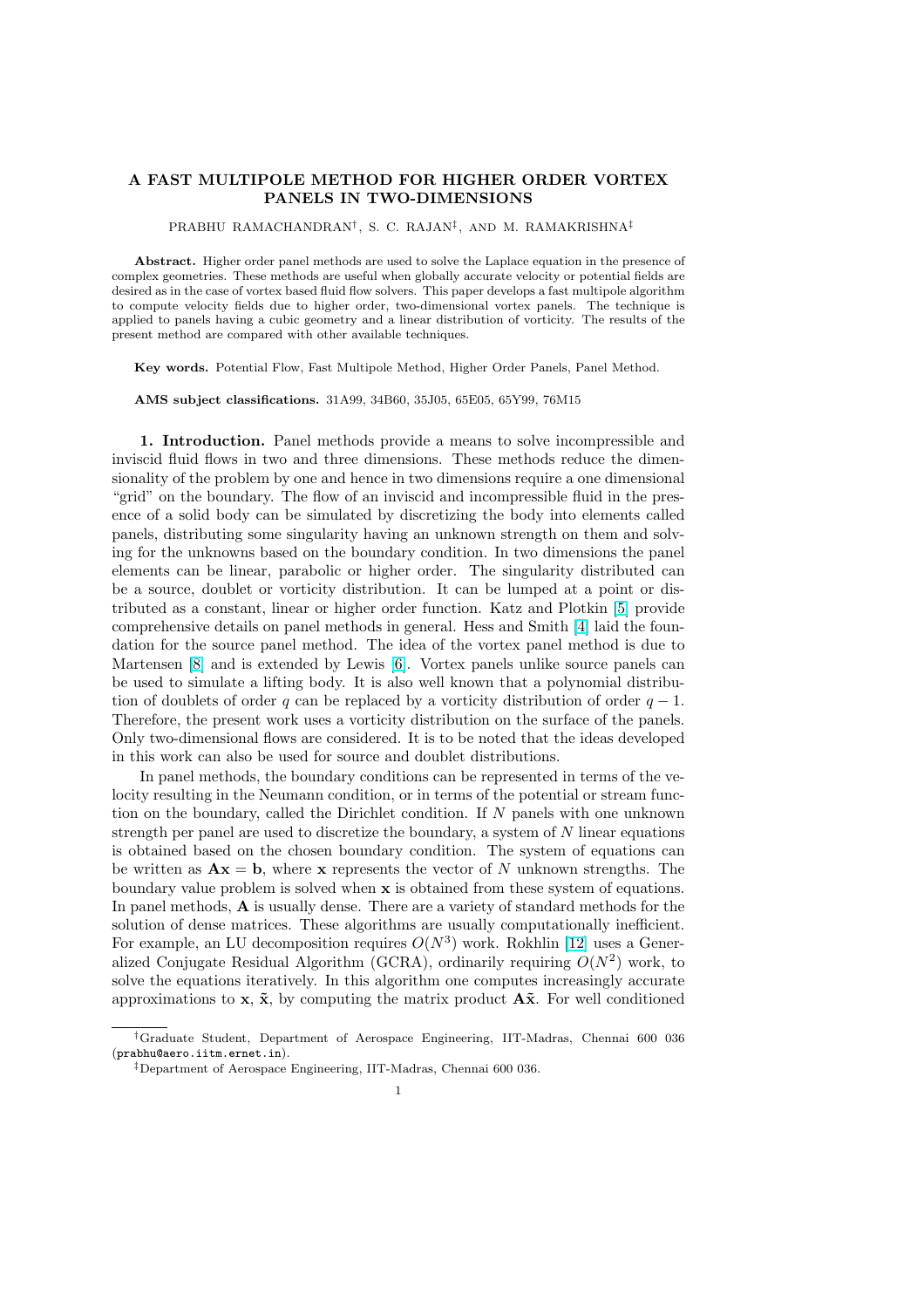## A FAST MULTIPOLE METHOD FOR HIGHER ORDER VORTEX PANELS IN TWO-DIMENSIONS

PRABHU RAMACHANDRAN† , S. C. RAJAN‡ , AND M. RAMAKRISHNA‡

Abstract. Higher order panel methods are used to solve the Laplace equation in the presence of complex geometries. These methods are useful when globally accurate velocity or potential fields are desired as in the case of vortex based fluid flow solvers. This paper develops a fast multipole algorithm to compute velocity fields due to higher order, two-dimensional vortex panels. The technique is applied to panels having a cubic geometry and a linear distribution of vorticity. The results of the present method are compared with other available techniques.

Key words. Potential Flow, Fast Multipole Method, Higher Order Panels, Panel Method.

AMS subject classifications. 31A99, 34B60, 35J05, 65E05, 65Y99, 76M15

1. Introduction. Panel methods provide a means to solve incompressible and inviscid fluid flows in two and three dimensions. These methods reduce the dimensionality of the problem by one and hence in two dimensions require a one dimensional "grid" on the boundary. The flow of an inviscid and incompressible fluid in the presence of a solid body can be simulated by discretizing the body into elements called panels, distributing some singularity having an unknown strength on them and solving for the unknowns based on the boundary condition. In two dimensions the panel elements can be linear, parabolic or higher order. The singularity distributed can be a source, doublet or vorticity distribution. It can be lumped at a point or distributed as a constant, linear or higher order function. Katz and Plotkin [5] provide comprehensive details on panel methods in general. Hess and Smith [4] laid the foundation for the source panel method. The idea of the vortex panel method is due to Martensen [8] and is extended by Lewis [6]. Vortex panels unlike source panels can be used to simulate a lifting body. It is also well known that a polynomi[al d](#page-23-0)istributio[n](#page-23-0) of doublets of order q can be replaced by a vorticity distribution of order  $q - 1$ . Therefore, the present work uses a vorticity distribution on the surface of the panels. Only two-d[im](#page-23-0)ensional flows are considere[d.](#page-23-0) It is to be noted that the ideas developed in this work can also be used for source and doublet distributions.

In panel methods, the boundary conditions can be represented in terms of the velocity resulting in the Neumann condition, or in terms of the potential or stream function on the boundary, called the Dirichlet condition. If N panels with one unknown strength per panel are used to discretize the boundary, a system of N linear equations is obtained based on the chosen boundary condition. The system of equations can be written as  $\mathbf{A}\mathbf{x} = \mathbf{b}$ , where x represents the vector of N unknown strengths. The boundary value problem is solved when x is obtained from these system of equations. In panel methods, A is usually dense. There are a variety of standard methods for the solution of dense matrices. These algorithms are usually computationally inefficient. For example, an LU decomposition requires  $O(N^3)$  work. Rokhlin [12] uses a Generalized Conjugate Residual Algorithm (GCRA), ordinarily requiring  $O(N^2)$  work, to solve the equations iteratively. In this algorithm one computes increasingly accurate approximations to x,  $\tilde{\mathbf{x}}$ , by computing the matrix product  $\mathbf{A}\tilde{\mathbf{x}}$ . For well conditioned

<sup>†</sup>Graduate Student, Department of Aerospace Engineering, IIT-Madras, Chennai 600 036 (prabhu@aero.iitm.ernet.in).

<sup>‡</sup>Department of Aerospace Engineering, IIT-Madras, Chennai 600 036.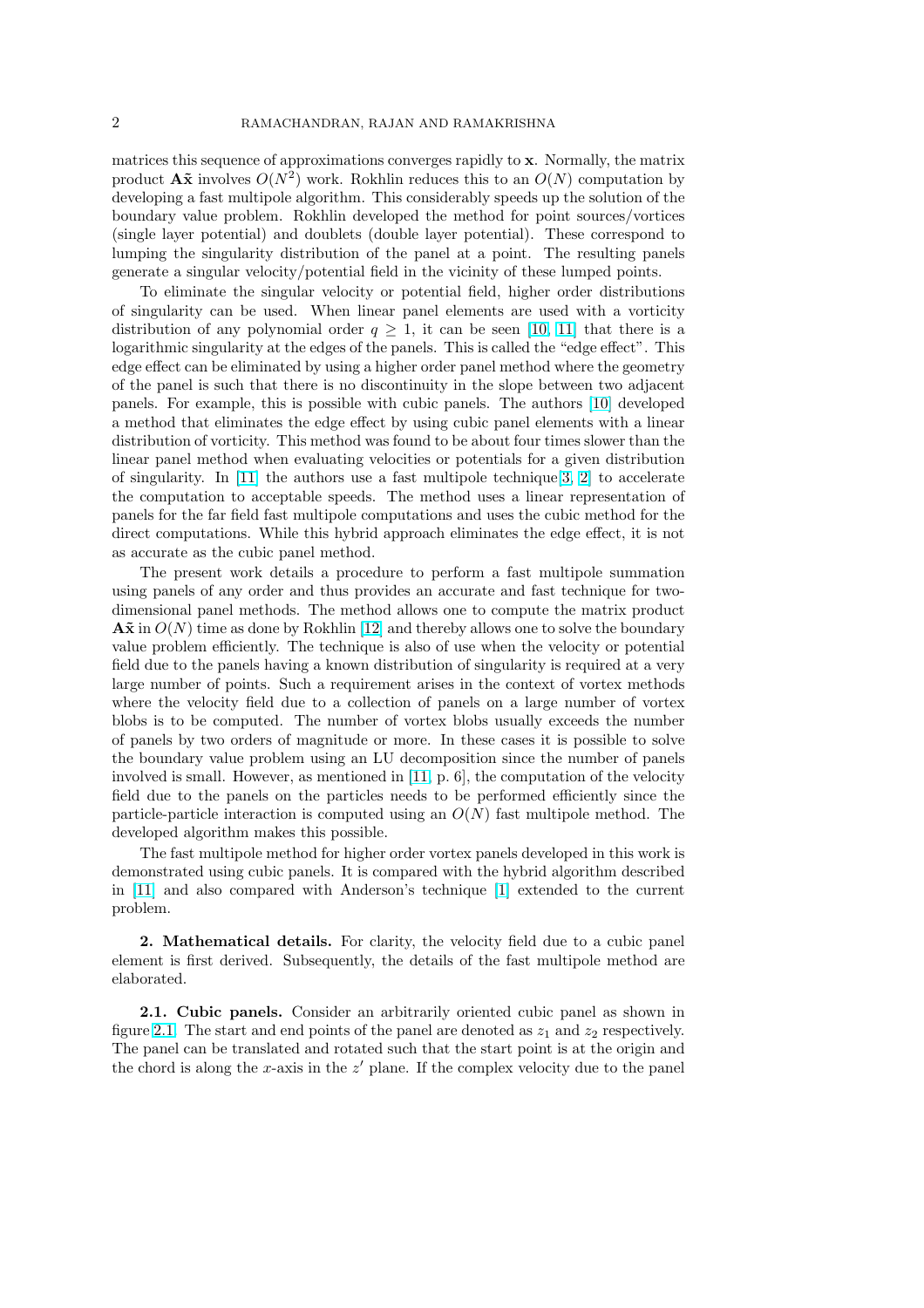<span id="page-1-0"></span>matrices this sequence of approximations converges rapidly to x. Normally, the matrix product  $\mathbf{A\tilde{x}}$  involves  $O(N^2)$  work. Rokhlin reduces this to an  $O(N)$  computation by developing a fast multipole algorithm. This considerably speeds up the solution of the boundary value problem. Rokhlin developed the method for point sources/vortices (single layer potential) and doublets (double layer potential). These correspond to lumping the singularity distribution of the panel at a point. The resulting panels generate a singular velocity/potential field in the vicinity of these lumped points.

To eliminate the singular velocity or potential field, higher order distributions of singularity can be used. When linear panel elements are used with a vorticity distribution of any polynomial order  $q \geq 1$ , it can be seen [10, 11] that there is a logarithmic singularity at the edges of the panels. This is called the "edge effect". This edge effect can be eliminated by using a higher order panel method where the geometry of the panel is such that there is no discontinuity in the slope between two adjacent panels. For example, this is possible with cubic panels. The [author](#page-23-0)s [10] developed a method that eliminates the edge effect by using cubic panel elements with a linear distribution of vorticity. This method was found to be about four times slower than the linear panel method when evaluating velocities or potentials for a given distribution of singularity. In [11] the authors use a fast multipole technique  $[3, 2]$  to accelerate the computation to acceptable speeds. The method uses a linear representation of panels for the far field fast multipole computations and uses the cubic method for the direct computations. While this hybrid approach eliminates the edge effect, it is not as accurate as the [cub](#page-23-0)ic panel method.

The present work details a procedure to perform a fast multipole summation using panels of any order and thus provides an accurate and fast technique for twodimensional panel methods. The method allows one to compute the matrix product  $\mathbf{A\tilde{x}}$  in  $O(N)$  time as done by Rokhlin [12] and thereby allows one to solve the boundary value problem efficiently. The technique is also of use when the velocity or potential field due to the panels having a known distribution of singularity is required at a very large number of points. Such a requirement arises in the context of vortex methods where the velocity field due to a c[ollec](#page-23-0)tion of panels on a large number of vortex blobs is to be computed. The number of vortex blobs usually exceeds the number of panels by two orders of magnitude or more. In these cases it is possible to solve the boundary value problem using an LU decomposition since the number of panels involved is small. However, as mentioned in [11, p. 6], the computation of the velocity field due to the panels on the particles needs to be performed efficiently since the particle-particle interaction is computed using an  $O(N)$  fast multipole method. The developed algorithm makes this possible.

The fast multipole method for higher or[der v](#page-23-0)ortex panels developed in this work is demonstrated using cubic panels. It is compared with the hybrid algorithm described in [11] and also compared with Anderson's technique [1] extended to the current problem.

2. Mathematical details. For clarity, the velocity field due to a cubic panel ele[men](#page-23-0)t is first derived. Subsequently, the details of th[e f](#page-23-0)ast multipole method are elaborated.

2.1. Cubic panels. Consider an arbitrarily oriented cubic panel as shown in figure 2.1. The start and end points of the panel are denoted as  $z_1$  and  $z_2$  respectively. The panel can be translated and rotated such that the start point is at the origin and the chord is along the x-axis in the  $z'$  plane. If the complex velocity due to the panel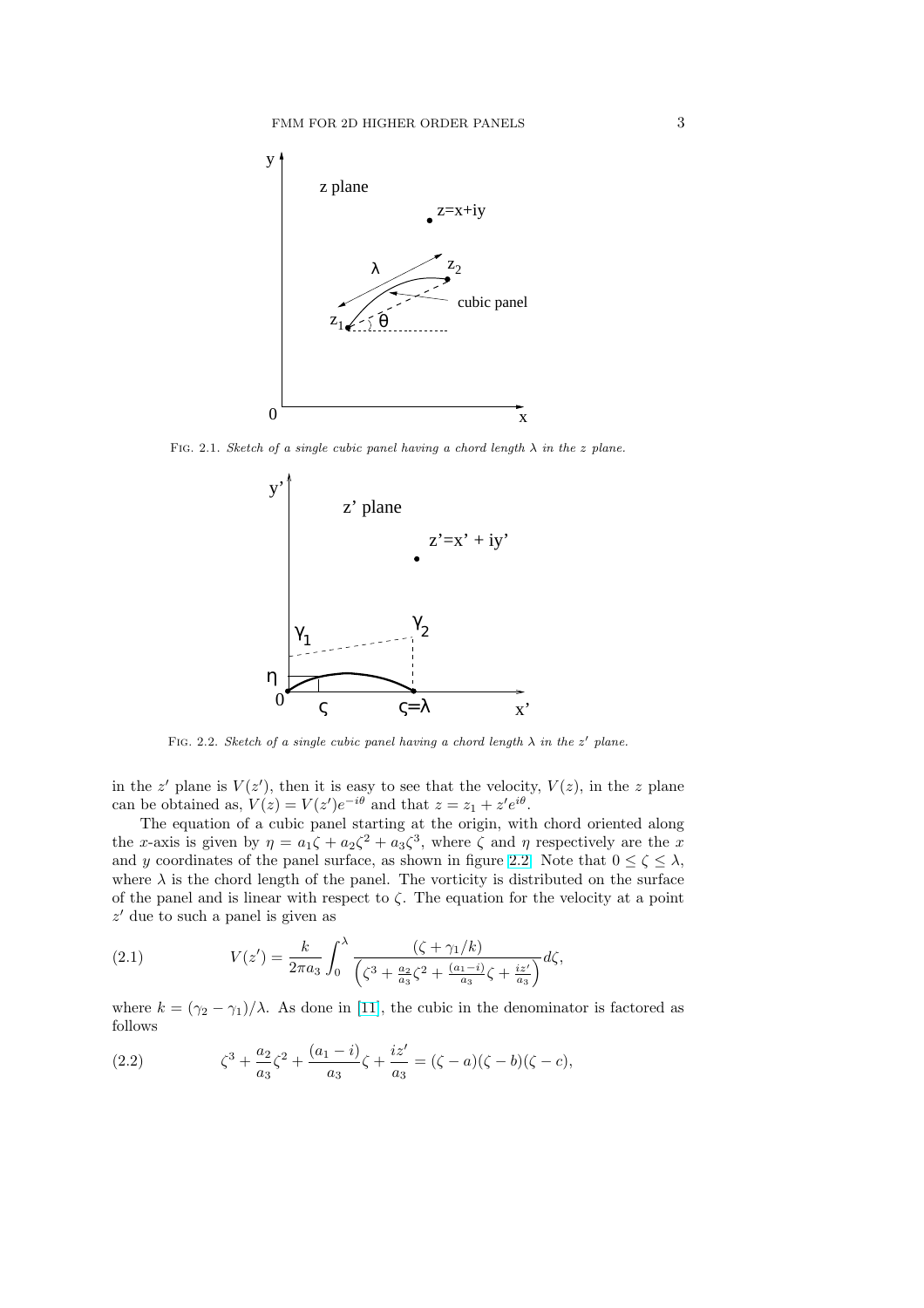<span id="page-2-0"></span>

FIG. 2.1. Sketch of a single cubic panel having a chord length  $\lambda$  in the z plane.



FIG. 2.2. Sketch of a single cubic panel having a chord length  $\lambda$  in the z' plane.

in the z' plane is  $V(z')$ , then it is easy to see that the velocity,  $V(z)$ , in the z plane can be obtained as,  $V(z) = V(z')e^{-i\theta}$  and that  $z = z_1 + z'e^{i\theta}$ .

The equation of a cubic panel starting at the origin, with chord oriented along the x-axis is given by  $\eta = a_1 \zeta + a_2 \zeta^2 + a_3 \zeta^3$ , where  $\zeta$  and  $\eta$  respectively are the x and y coordinates of the panel surface, as shown in figure 2.2. Note that  $0 \le \zeta \le \lambda$ , where  $\lambda$  is the chord length of the panel. The vorticity is distributed on the surface of the panel and is linear with respect to  $\zeta$ . The equation for the velocity at a point  $z'$  due to such a panel is given as

(2.1) 
$$
V(z') = \frac{k}{2\pi a_3} \int_0^{\lambda} \frac{(\zeta + \gamma_1/k)}{\left(\zeta^3 + \frac{a_2}{a_3}\zeta^2 + \frac{(a_1 - i)}{a_3}\zeta + \frac{iz'}{a_3}\right)} d\zeta,
$$

where  $k = (\gamma_2 - \gamma_1)/\lambda$ . As done in [11], the cubic in the denominator is factored as follows

(2.2) 
$$
\zeta^3 + \frac{a_2}{a_3}\zeta^2 + \frac{(a_1 - i)}{a_3}\zeta + \frac{iz'}{a_3} = (\zeta - a)(\zeta - b)(\zeta - c),
$$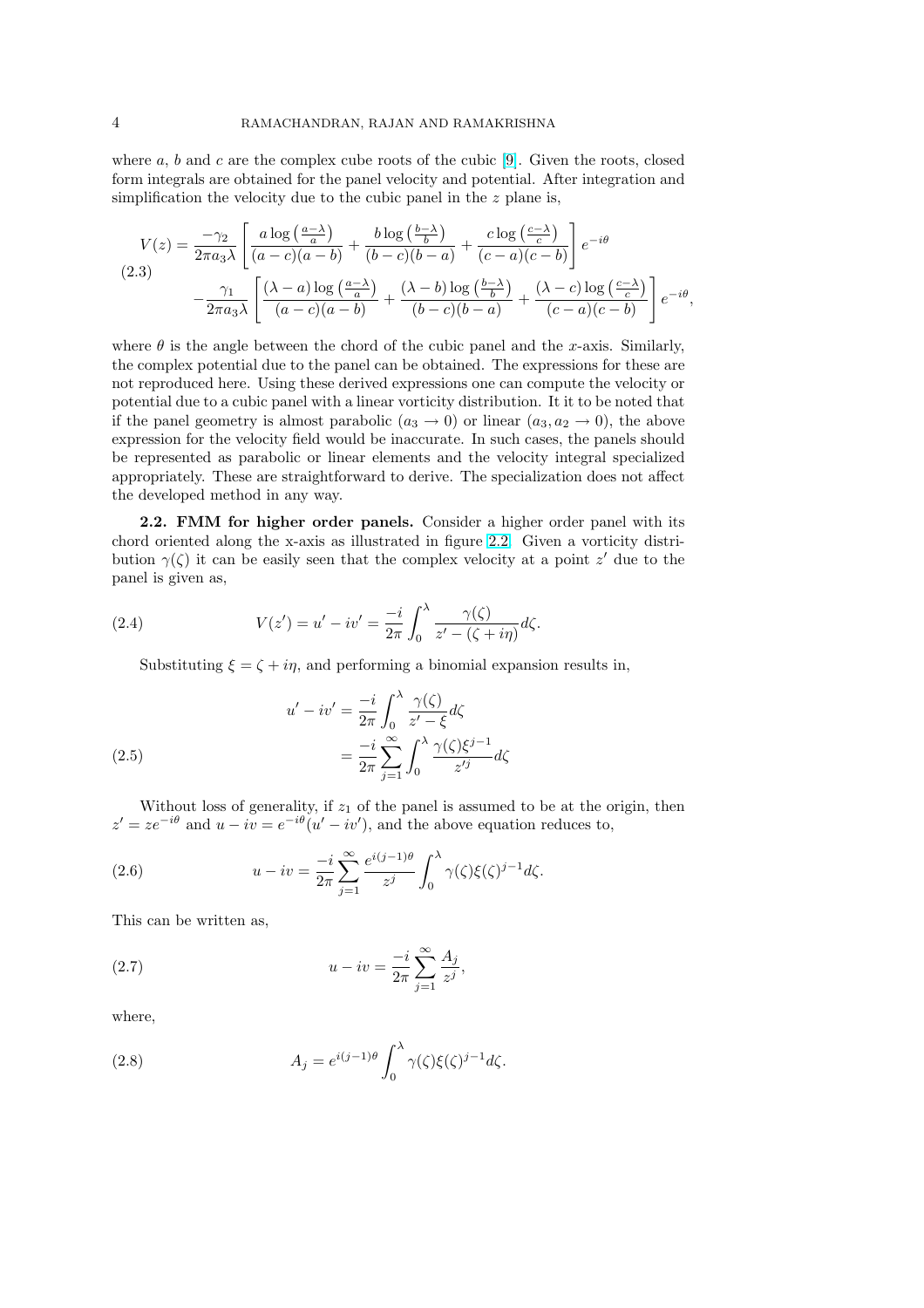<span id="page-3-0"></span>where  $a, b$  and  $c$  are the complex cube roots of the cubic [9]. Given the roots, closed form integrals are obtained for the panel velocity and potential. After integration and simplification the velocity due to the cubic panel in the  $z$  plane is,

$$
V(z) = \frac{-\gamma_2}{2\pi a_3 \lambda} \left[ \frac{a \log\left(\frac{a-\lambda}{a}\right)}{(a-c)(a-b)} + \frac{b \log\left(\frac{b-\lambda}{b}\right)}{(b-c)(b-a)} + \frac{c \log\left(\frac{c-\lambda}{c}\right)}{(c-a)(c-b)} \right] e^{-i\theta}
$$
  
(2.3)
$$
-\frac{\gamma_1}{2\pi a_3 \lambda} \left[ \frac{(\lambda-a) \log\left(\frac{a-\lambda}{a}\right)}{(a-c)(a-b)} + \frac{(\lambda-b) \log\left(\frac{b-\lambda}{b}\right)}{(b-c)(b-a)} + \frac{(\lambda-c) \log\left(\frac{c-\lambda}{c}\right)}{(c-a)(c-b)} \right] e^{-i\theta},
$$

where  $\theta$  is the angle between the chord of the cubic panel and the x-axis. Similarly, the complex potential due to the panel can be obtained. The expressions for these are not reproduced here. Using these derived expressions one can compute the velocity or potential due to a cubic panel with a linear vorticity distribution. It it to be noted that if the panel geometry is almost parabolic  $(a_3 \rightarrow 0)$  or linear  $(a_3, a_2 \rightarrow 0)$ , the above expression for the velocity field would be inaccurate. In such cases, the panels should be represented as parabolic or linear elements and the velocity integral specialized appropriately. These are straightforward to derive. The specialization does not affect the developed method in any way.

2.2. FMM for higher order panels. Consider a higher order panel with its chord oriented along the x-axis as illustrated in figure 2.2. Given a vorticity distribution  $\gamma(\zeta)$  it can be easily seen that the complex velocity at a point z' due to the panel is given as,

(2.4) 
$$
V(z') = u' - iv' = \frac{-i}{2\pi} \int_0^{\lambda} \frac{\gamma(\zeta)}{z' - (\zeta + i\eta)} d\zeta.
$$

Substituting  $\xi = \zeta + i\eta$ , and performing a binomial expansion results in,

(2.5)  

$$
u' - iv' = \frac{-i}{2\pi} \int_0^{\lambda} \frac{\gamma(\zeta)}{z' - \xi} d\zeta
$$

$$
= \frac{-i}{2\pi} \sum_{j=1}^{\infty} \int_0^{\lambda} \frac{\gamma(\zeta)\xi^{j-1}}{z'^j} d\zeta
$$

Without loss of generality, if  $z_1$  of the panel is assumed to be at the origin, then  $z' = ze^{-i\theta}$  and  $u - iv = e^{-i\theta}(u' - iv')$ , and the above equation reduces to,

(2.6) 
$$
u - iv = \frac{-i}{2\pi} \sum_{j=1}^{\infty} \frac{e^{i(j-1)\theta}}{z^j} \int_0^{\lambda} \gamma(\zeta) \xi(\zeta)^{j-1} d\zeta.
$$

This can be written as,

(2.7) 
$$
u - iv = \frac{-i}{2\pi} \sum_{j=1}^{\infty} \frac{A_j}{z^j},
$$

where,

(2.8) 
$$
A_j = e^{i(j-1)\theta} \int_0^{\lambda} \gamma(\zeta) \xi(\zeta)^{j-1} d\zeta.
$$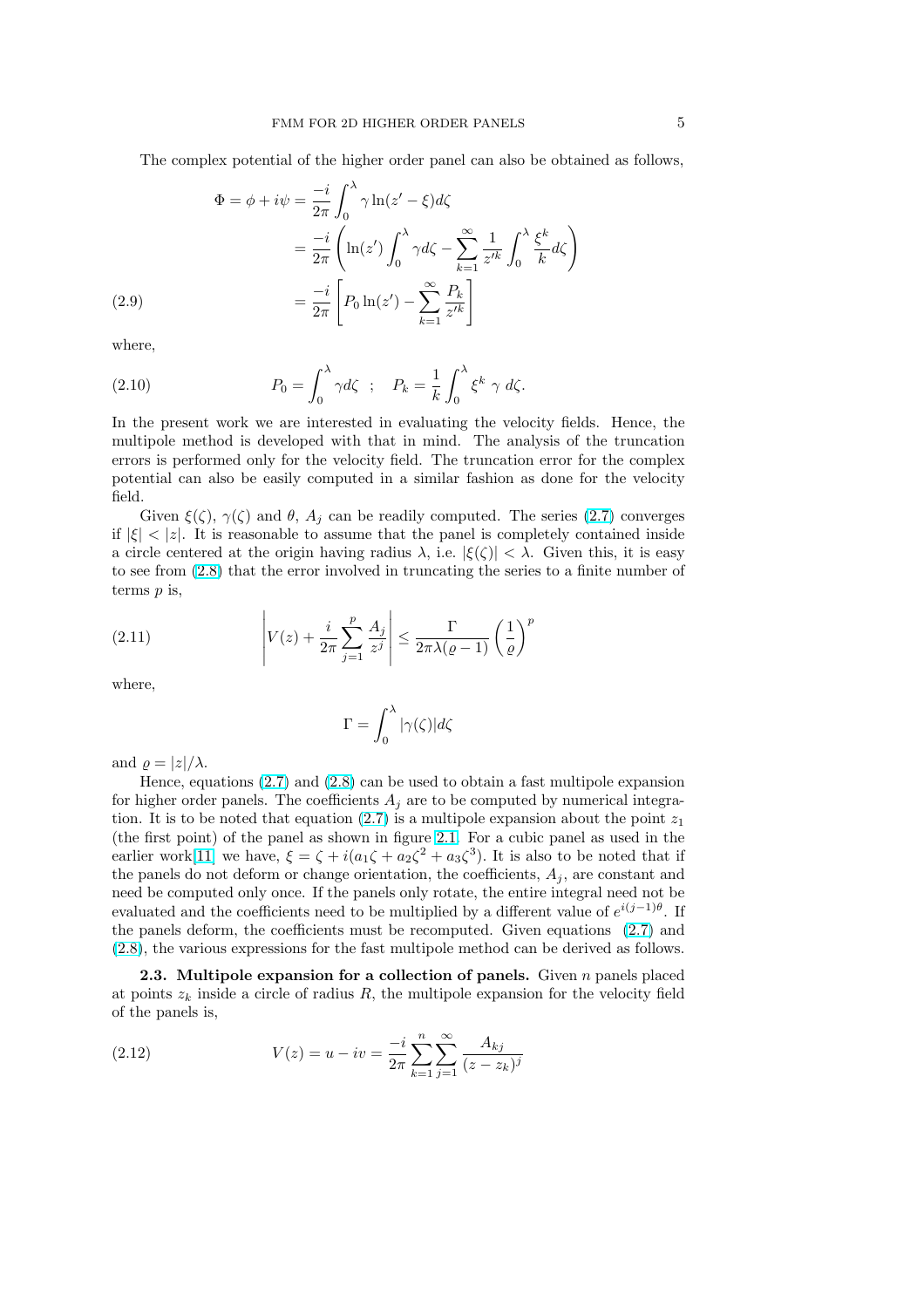<span id="page-4-0"></span>The complex potential of the higher order panel can also be obtained as follows,

$$
\Phi = \phi + i\psi = \frac{-i}{2\pi} \int_0^{\lambda} \gamma \ln(z' - \xi) d\zeta
$$
  
= 
$$
\frac{-i}{2\pi} \left( \ln(z') \int_0^{\lambda} \gamma d\zeta - \sum_{k=1}^{\infty} \frac{1}{z'^k} \int_0^{\lambda} \frac{\xi^k}{k} d\zeta \right)
$$
  
= 
$$
\frac{-i}{2\pi} \left[ P_0 \ln(z') - \sum_{k=1}^{\infty} \frac{P_k}{z'^k} \right]
$$

where,

(2.9)

(2.10) 
$$
P_0 = \int_0^\lambda \gamma d\zeta \quad ; \quad P_k = \frac{1}{k} \int_0^\lambda \xi^k \gamma d\zeta.
$$

In the present work we are interested in evaluating the velocity fields. Hence, the multipole method is developed with that in mind. The analysis of the truncation errors is performed only for the velocity field. The truncation error for the complex potential can also be easily computed in a similar fashion as done for the velocity field.

Given  $\xi(\zeta)$ ,  $\gamma(\zeta)$  and  $\theta$ ,  $A_j$  can be readily computed. The series (2.7) converges if  $|\xi| < |z|$ . It is reasonable to assume that the panel is completely contained inside a circle centered at the origin having radius  $\lambda$ , i.e.  $|\xi(\zeta)| < \lambda$ . Given this, it is easy to see from (2.8) that the error involved in truncating the series to a finite number of terms  $p$  is,  $\overline{a}$ 

(2.11) 
$$
\left| V(z) + \frac{i}{2\pi} \sum_{j=1}^{p} \frac{A_j}{z^j} \right| \leq \frac{\Gamma}{2\pi \lambda (\varrho - 1)} \left( \frac{1}{\varrho} \right)^p
$$

where,

$$
\Gamma = \int_0^\lambda |\gamma(\zeta)| d\zeta
$$

and  $\rho = |z|/\lambda$ .

Hence, equations (2.7) and (2.8) can be used to obtain a fast multipole expansion for higher order panels. The coefficients  $A_j$  are to be computed by numerical integration. It is to be noted that equation (2.7) is a multipole expansion about the point  $z_1$ (the first point) of the panel as shown in figure 2.1. For a cubic panel as used in the earlier work[11] we ha[ve,](#page-3-0)  $\xi = \zeta + i(a_1\zeta + a_2\zeta^2 + a_3\zeta^3)$  $\xi = \zeta + i(a_1\zeta + a_2\zeta^2 + a_3\zeta^3)$  $\xi = \zeta + i(a_1\zeta + a_2\zeta^2 + a_3\zeta^3)$ . It is also to be noted that if the panels do not deform or change orientation, the coefficients,  $A_i$ , are constant and need be computed only once. If the p[anel](#page-3-0)s only rotate, the entire integral need not be evaluated and the coefficients need to be multip[lied](#page-2-0) by a different value of  $e^{i(j-1)\theta}$ . If the panels d[efo](#page-23-0)rm, the coefficients must be recomputed. Given equations (2.7) and (2.8), the various expressions for the fast multipole method can be derived as follows.

**2.3.** Multipole expansion for a collection of panels. Given  $n$  panels placed at points  $z_k$  inside a circle of radius R, the multipole expansion for the velocity field of the panels is,

(2.12) 
$$
V(z) = u - iv = \frac{-i}{2\pi} \sum_{k=1}^n \sum_{j=1}^\infty \frac{A_{kj}}{(z - z_k)^j}
$$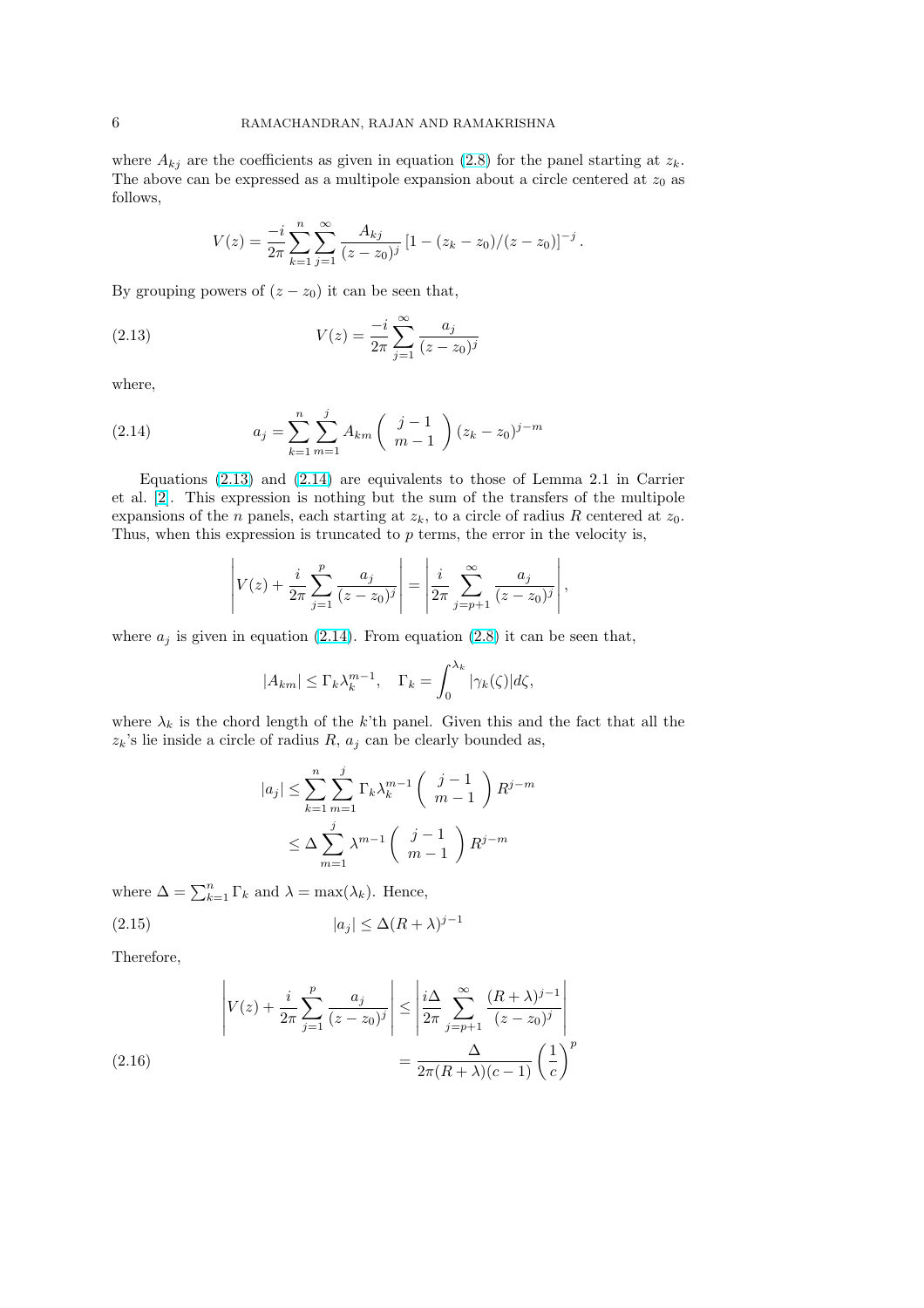<span id="page-5-0"></span>where  $A_{kj}$  are the coefficients as given in equation (2.8) for the panel starting at  $z_k$ . The above can be expressed as a multipole expansion about a circle centered at  $z_0$  as follows,

$$
V(z) = \frac{-i}{2\pi} \sum_{k=1}^{n} \sum_{j=1}^{\infty} \frac{A_{kj}}{(z - z_0)^j} \left[1 - \frac{(z_k - z_0)}{(z - z_0)}\right]^{-j}.
$$

By grouping powers of  $(z - z_0)$  it can be seen that,

(2.13) 
$$
V(z) = \frac{-i}{2\pi} \sum_{j=1}^{\infty} \frac{a_j}{(z - z_0)^j}
$$

where,

(2.14) 
$$
a_j = \sum_{k=1}^n \sum_{m=1}^j A_{km} \left( \begin{array}{c} j-1\\m-1 \end{array} \right) (z_k - z_0)^{j-m}
$$

Equations (2.13) and (2.14) are equivalents to those of Lemma 2.1 in Carrier et al. [2]. This expression is nothing but the sum of the transfers of the multipole expansions of the *n* panels, each starting at  $z_k$ , to a circle of radius R centered at  $z_0$ . Thus, when this expression is truncated to  $p$  terms, the error in the velocity is,

$$
\left| V(z) + \frac{i}{2\pi} \sum_{j=1}^{p} \frac{a_j}{(z - z_0)^j} \right| = \left| \frac{i}{2\pi} \sum_{j=p+1}^{\infty} \frac{a_j}{(z - z_0)^j} \right|,
$$

 $\overline{a}$ 

where  $a_j$  is given in equation (2.14). From equation (2.8) it can be seen that,

$$
|A_{km}|\leq \Gamma_k \lambda_k^{m-1},\quad \Gamma_k=\int_0^{\lambda_k}|\gamma_k(\zeta)|d\zeta,
$$

where  $\lambda_k$  is the chord length of the k'th panel. Giv[en th](#page-3-0)is and the fact that all the  $z_k$ 's lie inside a circle of radius  $R$ ,  $a_j$  can be clearly bounded as,

$$
|a_j| \leq \sum_{k=1}^n \sum_{m=1}^j \Gamma_k \lambda_k^{m-1} \begin{pmatrix} j-1 \\ m-1 \end{pmatrix} R^{j-m}
$$
  

$$
\leq \Delta \sum_{m=1}^j \lambda^{m-1} \begin{pmatrix} j-1 \\ m-1 \end{pmatrix} R^{j-m}
$$

where  $\Delta = \sum_{k=1}^{n} \Gamma_k$  and  $\lambda = \max(\lambda_k)$ . Hence,

 $\overline{a}$ 

$$
(2.15) \t\t |a_j| \le \Delta (R + \lambda)^{j-1}
$$

Therefore,

$$
\left| V(z) + \frac{i}{2\pi} \sum_{j=1}^{p} \frac{a_j}{(z - z_0)^j} \right| \le \left| \frac{i\Delta}{2\pi} \sum_{j=p+1}^{\infty} \frac{(R+\lambda)^{j-1}}{(z - z_0)^j} \right|
$$
  
(2.16)  

$$
= \frac{\Delta}{2\pi (R+\lambda)(c-1)} \left( \frac{1}{c} \right)^p
$$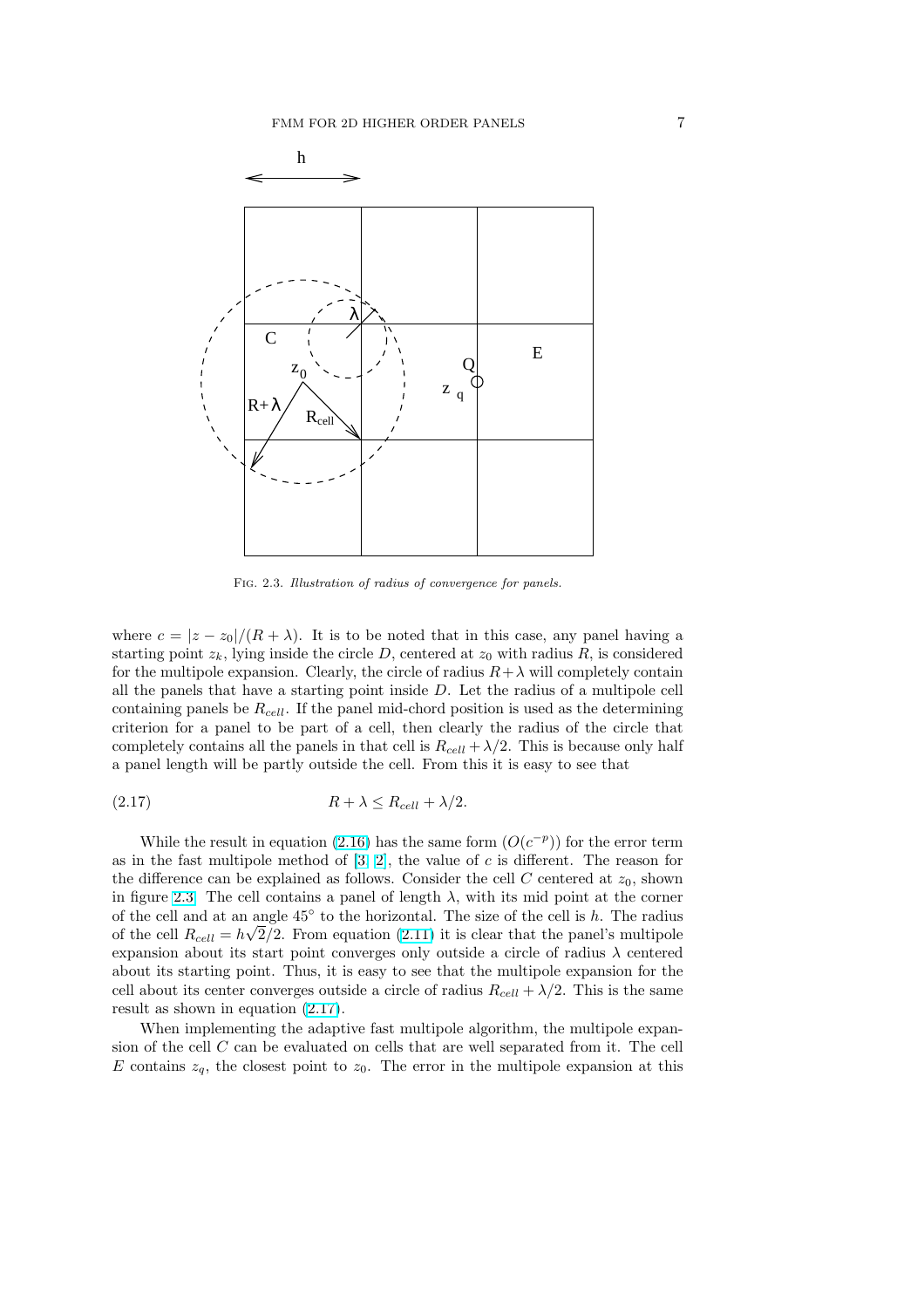<span id="page-6-0"></span>

Fig. 2.3. Illustration of radius of convergence for panels.

where  $c = |z - z_0|/(R + \lambda)$ . It is to be noted that in this case, any panel having a starting point  $z_k$ , lying inside the circle D, centered at  $z_0$  with radius R, is considered for the multipole expansion. Clearly, the circle of radius  $R+\lambda$  will completely contain all the panels that have a starting point inside D. Let the radius of a multipole cell containing panels be  $R_{cell}$ . If the panel mid-chord position is used as the determining criterion for a panel to be part of a cell, then clearly the radius of the circle that completely contains all the panels in that cell is  $R_{cell} + \lambda/2$ . This is because only half a panel length will be partly outside the cell. From this it is easy to see that

$$
(2.17) \t\t R + \lambda \le R_{cell} + \lambda/2.
$$

While the result in equation (2.16) has the same form  $(O(c^{-p}))$  for the error term as in the fast multipole method of  $[3, 2]$ , the value of c is different. The reason for the difference can be explained as follows. Consider the cell  $C$  centered at  $z_0$ , shown in figure 2.3. The cell contains a panel of length  $\lambda$ , with its mid point at the corner of the cell and at an angle  $45°$  to [the h](#page-5-0)orizontal. The size of the cell is h. The radius of the cell  $R_{cell} = h\sqrt{2}/2$ . From equ[at](#page-23-0)i[on](#page-23-0) (2.11) it is clear that the panel's multipole expansion about its start point converges only outside a circle of radius  $\lambda$  centered about its starting point. Thus, it is easy to see that the multipole expansion for the cell about its center converges outside a circle of radius  $R_{cell} + \lambda/2$ . This is the same result as shown in equation (2.17).

When implementing the adaptive fast multipole algorithm, the multipole expansion of the cell  $C$  can be evaluated on cells that are well separated from it. The cell E contains  $z_q$ , the closest point to  $z_0$ . The error in the multipole expansion at this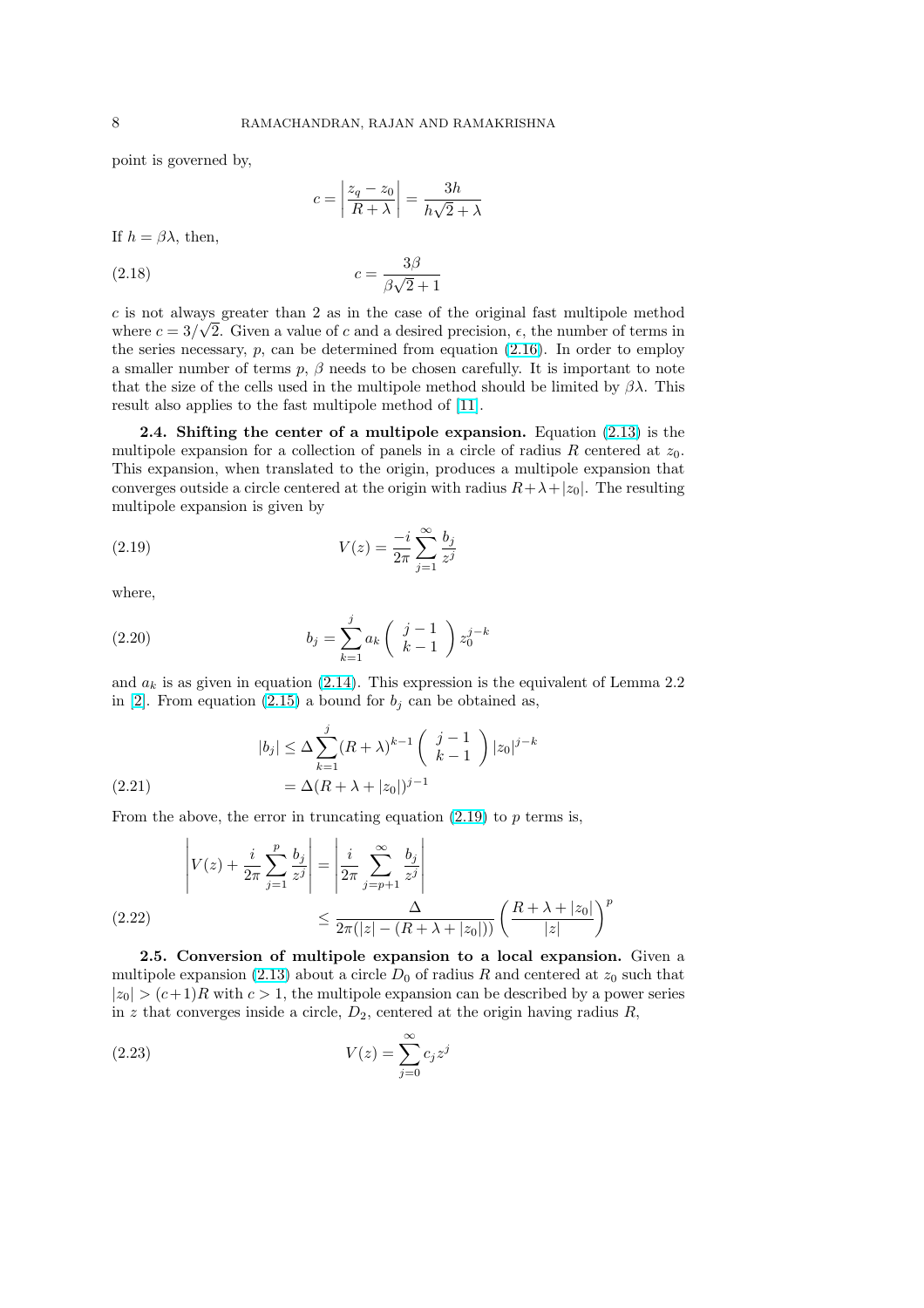<span id="page-7-0"></span>point is governed by,

$$
c = \left| \frac{z_q - z_0}{R + \lambda} \right| = \frac{3h}{h\sqrt{2} + \lambda}
$$

If  $h = \beta \lambda$ , then,

$$
c = \frac{3\beta}{\beta\sqrt{2} + 1}
$$

c is not always greater than 2 as in the case of the original fast multipole method where  $c = 3/\sqrt{2}$ . Given a value of c and a desired precision,  $\epsilon$ , the number of terms in the series necessary,  $p$ , can be determined from equation  $(2.16)$ . In order to employ a smaller number of terms  $p, \beta$  needs to be chosen carefully. It is important to note that the size of the cells used in the multipole method should be limited by  $\beta \lambda$ . This result also applies to the fast multipole method of [11].

**2.4.** Shifting the center of a multipole expansi[on.](#page-5-0) Equation  $(2.13)$  is the multipole expansion for a collection of panels in a circle of radius R centered at  $z_0$ . This expansion, when translated to the origin, produces a multipole expansion that converges outside a circle centered at the origin wit[h ra](#page-23-0)dius  $R+\lambda+|z_0|$ . The resulting multipole expansion is given by

(2.19) 
$$
V(z) = \frac{-i}{2\pi} \sum_{j=1}^{\infty} \frac{b_j}{z^j}
$$

where,

(2.20) 
$$
b_j = \sum_{k=1}^j a_k \left( \begin{array}{c} j-1 \\ k-1 \end{array} \right) z_0^{j-k}
$$

and  $a_k$  is as given in equation (2.14). This expression is the equivalent of Lemma 2.2 in [2]. From equation (2.15) a bound for  $b_j$  can be obtained as,

(2.21) 
$$
|b_j| \leq \Delta \sum_{k=1}^j (R+\lambda)^{k-1} \binom{j-1}{k-1} |z_0|^{j-k} = \Delta (R+\lambda + |z_0|)^{j-1}
$$

From the above, the error in truncating equation  $(2.19)$  to p terms is,

$$
\left| V(z) + \frac{i}{2\pi} \sum_{j=1}^{p} \frac{b_j}{z^j} \right| = \left| \frac{i}{2\pi} \sum_{j=p+1}^{\infty} \frac{b_j}{z^j} \right|
$$
\n
$$
\leq \frac{\Delta}{2\pi (|z| - (R + \lambda + |z_0|))} \left( \frac{R + \lambda + |z_0|}{|z|} \right)^p
$$

2.5. Conversion of multipole expansion to a local expansion. Given a multipole expansion (2.13) about a circle  $D_0$  of radius R and centered at  $z_0$  such that  $|z_0| > (c+1)R$  with  $c > 1$ , the multipole expansion can be described by a power series in z that converges inside a circle,  $D_2$ , centered at the origin having radius R,

$$
V(z) = \sum_{j=0}^{\infty} c_j z^j
$$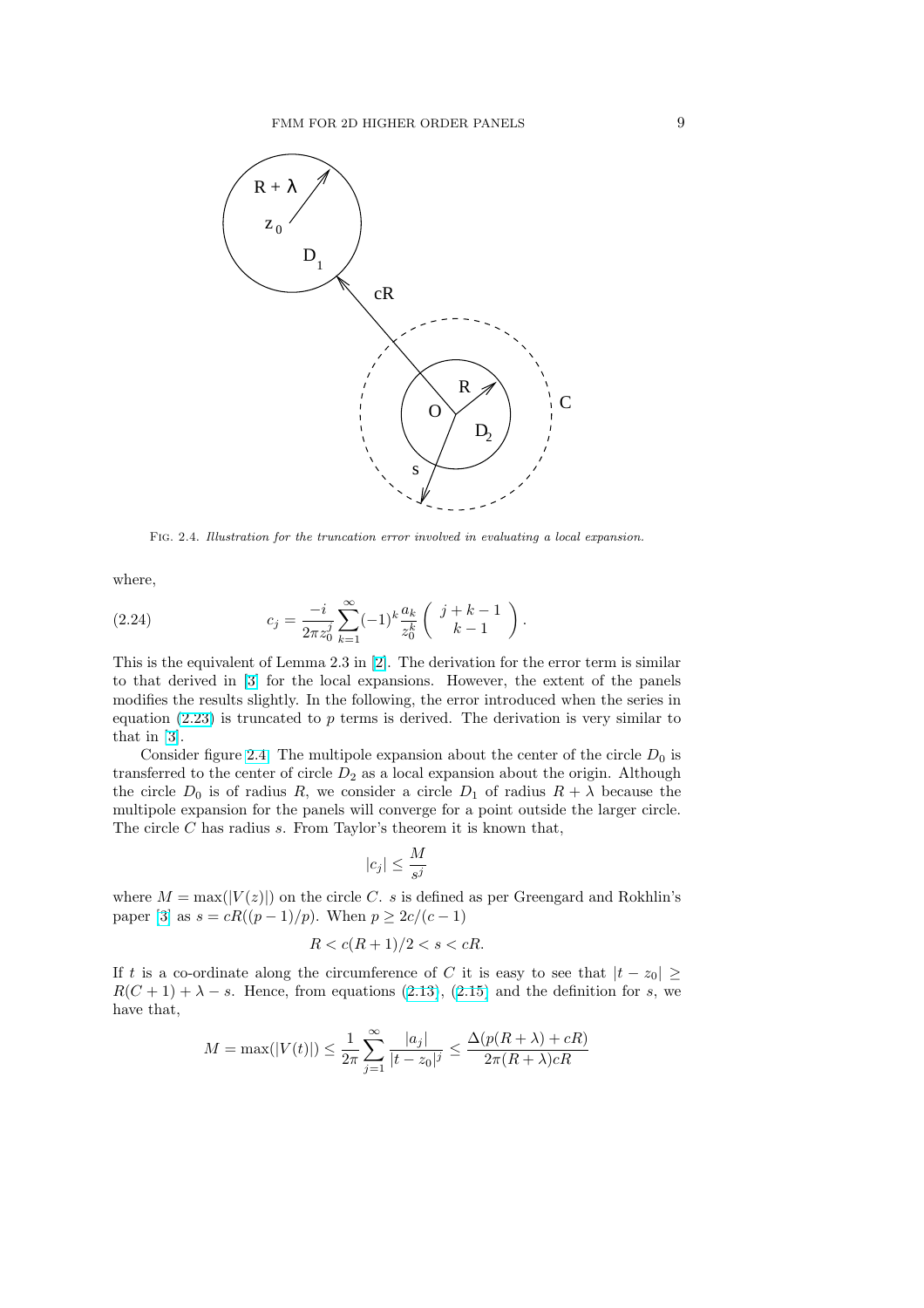<span id="page-8-0"></span>

Fig. 2.4. Illustration for the truncation error involved in evaluating a local expansion.

where,

(2.24) 
$$
c_j = \frac{-i}{2\pi z_0^j} \sum_{k=1}^{\infty} (-1)^k \frac{a_k}{z_0^k} \left( \begin{array}{c} j+k-1\\k-1 \end{array} \right).
$$

This is the equivalent of Lemma 2.3 in [2]. The derivation for the error term is similar to that derived in [3] for the local expansions. However, the extent of the panels modifies the results slightly. In the following, the error introduced when the series in equation  $(2.23)$  is truncated to p terms is derived. The derivation is very similar to that in [3].

Consider figure [2.](#page-23-0)4. The multipole [ex](#page-23-0)pansion about the center of the circle  $D_0$  is transferred to the center of circle  $D_2$  as a local expansion about the origin. Although the circle  $D_0$  $D_0$  is of radius R, we consider a circle  $D_1$  of radius  $R + \lambda$  because the multipo[le](#page-23-0) expansion for the panels will converge for a point outside the larger circle. The circle  $C$  has radius  $s$ . From Taylor's theorem it is known that,

$$
|c_j| \le \frac{M}{s^j}
$$

where  $M = \max(|V(z)|)$  on the circle C. s is defined as per Greengard and Rokhlin's paper [3] as  $s = cR((p-1)/p)$ . When  $p \geq 2c/(c-1)$ 

$$
R < c(R+1)/2 < s < cR.
$$

If t is a co-ordinate along the circumference of C it is easy to see that  $|t - z_0| \ge$  $R(C + 1) + \lambda - s$  $R(C + 1) + \lambda - s$  $R(C + 1) + \lambda - s$ . Hence, from equations (2.13), (2.15) and the definition for s, we have that,

$$
M = \max(|V(t)|) \le \frac{1}{2\pi} \sum_{j=1}^{\infty} \frac{|a_j|}{|t - z_0|^j} \le \frac{\Delta(p(R + \lambda) + cR)}{2\pi (R + \lambda)cR}
$$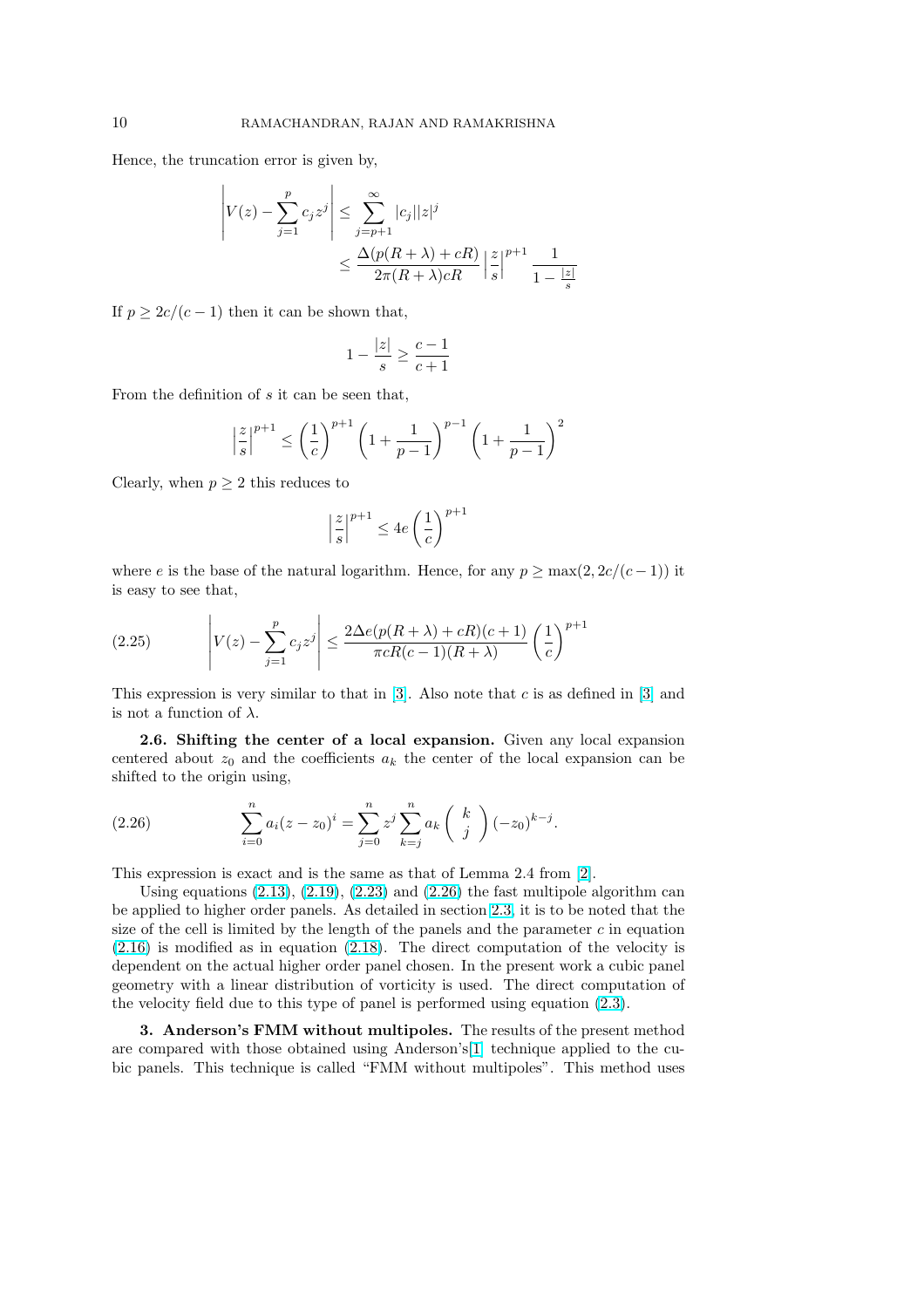Hence, the truncation error is given by,

$$
\left| V(z) - \sum_{j=1}^{p} c_j z^j \right| \le \sum_{j=p+1}^{\infty} |c_j| |z|^j
$$
  

$$
\le \frac{\Delta(p(R+\lambda) + cR)}{2\pi (R+\lambda) cR} \left| \frac{z}{s} \right|^{p+1} \frac{1}{1 - \frac{|z|}{s}}
$$

If  $p \geq 2c/(c-1)$  then it can be shown that,

$$
1 - \frac{|z|}{s} \ge \frac{c-1}{c+1}
$$

From the definition of  $s$  it can be seen that,

$$
\left|\frac{z}{s}\right|^{p+1} \le \left(\frac{1}{c}\right)^{p+1} \left(1 + \frac{1}{p-1}\right)^{p-1} \left(1 + \frac{1}{p-1}\right)^2
$$

Clearly, when  $p \geq 2$  this reduces to

 $\overline{a}$ 

$$
\left|\frac{z}{s}\right|^{p+1} \le 4e\left(\frac{1}{c}\right)^{p+1}
$$

where e is the base of the natural logarithm. Hence, for any  $p \ge \max(2, 2c/(c-1))$  it is easy to see that,

(2.25) 
$$
\left| V(z) - \sum_{j=1}^{p} c_j z^j \right| \leq \frac{2\Delta e(p(R+\lambda) + cR)(c+1)}{\pi cR(c-1)(R+\lambda)} \left(\frac{1}{c}\right)^{p+1}
$$

This expression is very similar to that in [3]. Also note that  $c$  is as defined in [3] and is not a function of  $\lambda$ .

2.6. Shifting the center of a local expansion. Given any local expansion centered about  $z_0$  and the coefficients  $a_k$  $a_k$  the center of the lo[ca](#page-23-0)l expansion can be shifted to the origin using,

(2.26) 
$$
\sum_{i=0}^{n} a_i (z - z_0)^i = \sum_{j=0}^{n} z^j \sum_{k=j}^{n} a_k \binom{k}{j} (-z_0)^{k-j}.
$$

This expression is exact and is the same as that of Lemma 2.4 from [2].

Using equations  $(2.13)$ ,  $(2.19)$ ,  $(2.23)$  and  $(2.26)$  the fast multipole algorithm can be applied to higher order panels. As detailed in section 2.3, it is to be noted that the size of the cell is limited by the length of the panels and the parameter  $c$  in equation (2.16) is modified as in equation (2.18). The direct computation o[f t](#page-23-0)he velocity is dependent on the act[ual hi](#page-5-0)g[her or](#page-7-0)d[er pan](#page-7-0)el chosen. In the present work a cubic panel geometry with a linear distribution of vorticity is used[. T](#page-4-0)he direct computation of the velocity field due to this type of panel is performed using equation (2.3).

[3](#page-5-0). Anderson's FMM witho[ut m](#page-7-0)ultipoles. The results of the present method are compared with those obtained using Anderson's[1] technique applied to the cubic panels. This technique is called "FMM without multipoles". This [met](#page-3-0)hod uses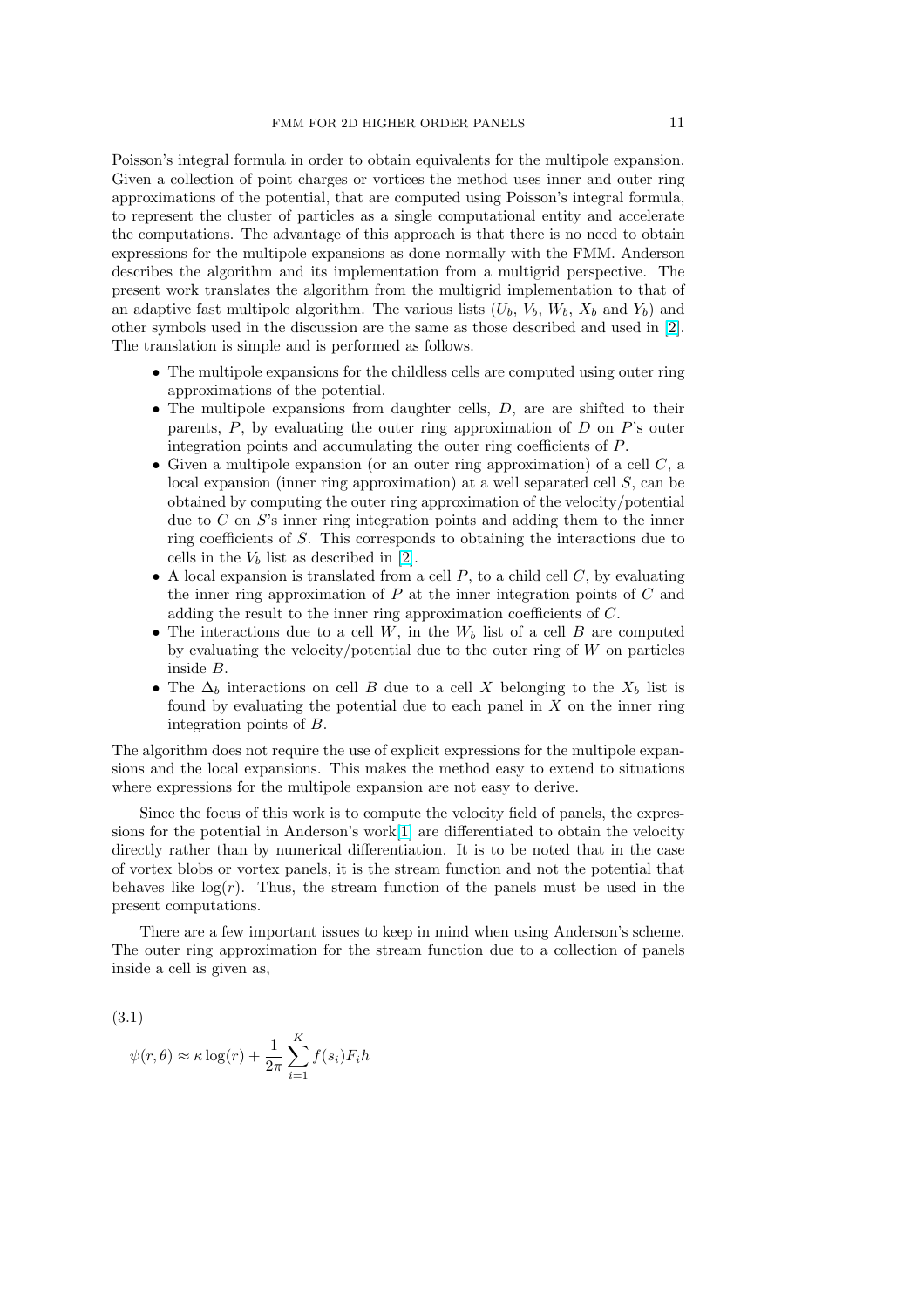<span id="page-10-0"></span>Poisson's integral formula in order to obtain equivalents for the multipole expansion. Given a collection of point charges or vortices the method uses inner and outer ring approximations of the potential, that are computed using Poisson's integral formula, to represent the cluster of particles as a single computational entity and accelerate the computations. The advantage of this approach is that there is no need to obtain expressions for the multipole expansions as done normally with the FMM. Anderson describes the algorithm and its implementation from a multigrid perspective. The present work translates the algorithm from the multigrid implementation to that of an adaptive fast multipole algorithm. The various lists  $(U_b, V_b, W_b, X_b$  and  $Y_b)$  and other symbols used in the discussion are the same as those described and used in [2]. The translation is simple and is performed as follows.

- The multipole expansions for the childless cells are computed using outer ring approximations of the potential.
- The multipole expansions from daughter cells,  $D$ , are are shifted to t[hei](#page-23-0)r parents,  $P$ , by evaluating the outer ring approximation of  $D$  on  $P$ 's outer integration points and accumulating the outer ring coefficients of P.
- Given a multipole expansion (or an outer ring approximation) of a cell  $C$ , a local expansion (inner ring approximation) at a well separated cell S, can be obtained by computing the outer ring approximation of the velocity/potential due to  $C$  on  $S$ 's inner ring integration points and adding them to the inner ring coefficients of S. This corresponds to obtaining the interactions due to cells in the  $V_b$  list as described in [2].
- A local expansion is translated from a cell  $P$ , to a child cell  $C$ , by evaluating the inner ring approximation of  $P$  at the inner integration points of  $C$  and adding the result to the inner ring approximation coefficients of C.
- The interactions due to a cell  $W$ [, i](#page-23-0)n the  $W_b$  list of a cell  $B$  are computed by evaluating the velocity/potential due to the outer ring of  $W$  on particles inside B.
- The  $\Delta_b$  interactions on cell B due to a cell X belonging to the  $X_b$  list is found by evaluating the potential due to each panel in  $X$  on the inner ring integration points of B.

The algorithm does not require the use of explicit expressions for the multipole expansions and the local expansions. This makes the method easy to extend to situations where expressions for the multipole expansion are not easy to derive.

Since the focus of this work is to compute the velocity field of panels, the expressions for the potential in Anderson's work[1] are differentiated to obtain the velocity directly rather than by numerical differentiation. It is to be noted that in the case of vortex blobs or vortex panels, it is the stream function and not the potential that behaves like  $log(r)$ . Thus, the stream function of the panels must be used in the present computations.

There are a few important issues to keep in mind when using Anderson's scheme. The outer ring approximation for the stream function due to a collection of panels inside a cell is given as,

(3.1)

$$
\psi(r,\theta) \approx \kappa \log(r) + \frac{1}{2\pi} \sum_{i=1}^{K} f(s_i) F_i h
$$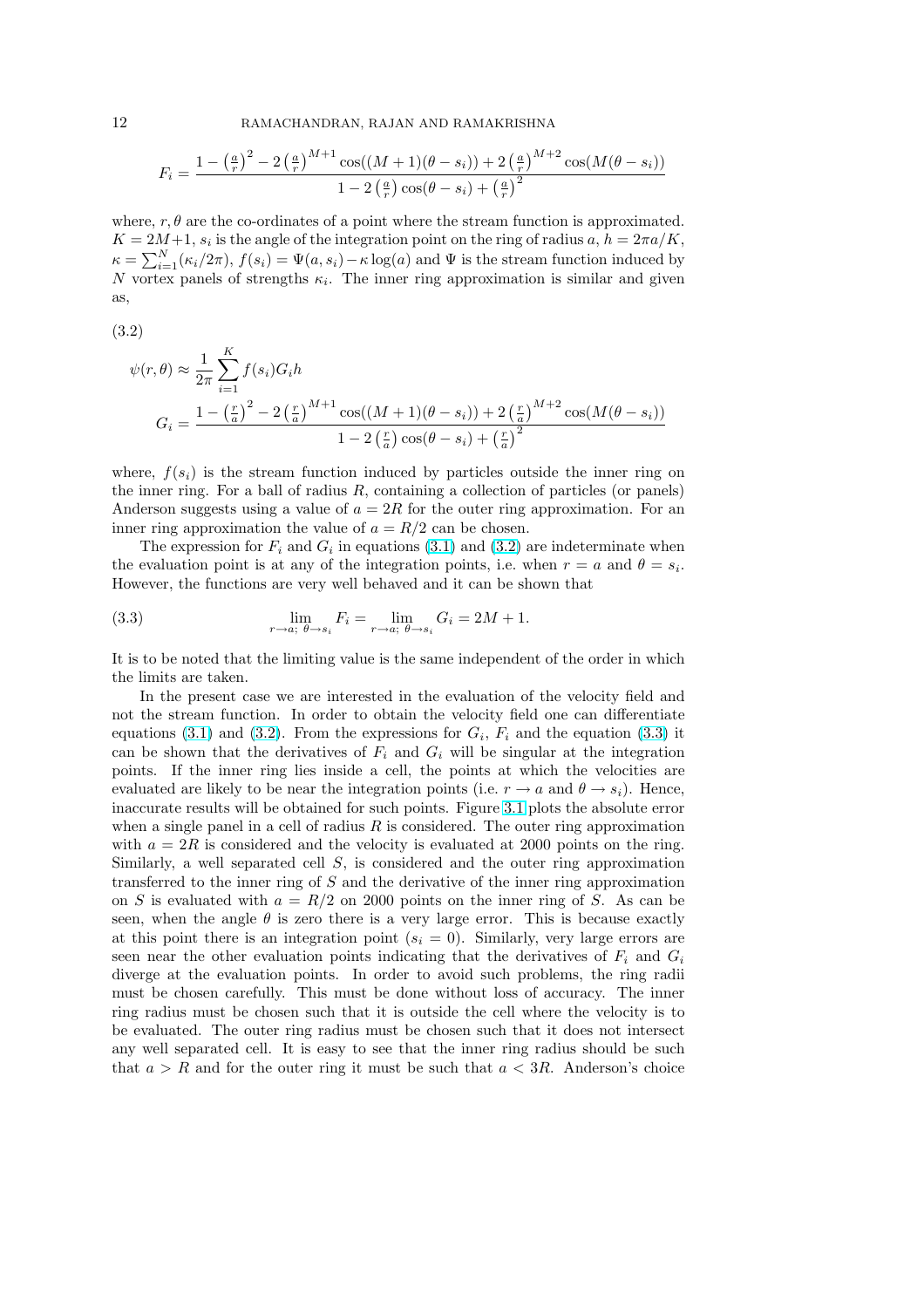<span id="page-11-0"></span>
$$
F_i = \frac{1 - \left(\frac{a}{r}\right)^2 - 2\left(\frac{a}{r}\right)^{M+1}\cos((M+1)(\theta - s_i)) + 2\left(\frac{a}{r}\right)^{M+2}\cos(M(\theta - s_i))}{1 - 2\left(\frac{a}{r}\right)\cos(\theta - s_i) + \left(\frac{a}{r}\right)^2}
$$

where,  $r, \theta$  are the co-ordinates of a point where the stream function is approximated.  $K = 2M+1$ ,  $s_i$  is the angle of the integration point on the ring of radius  $a, h = 2\pi a/K$ ,  $\kappa = \sum_{i=1}^{N} (\kappa_i/2\pi), f(s_i) = \Psi(a, s_i) - \kappa \log(a)$  and  $\Psi$  is the stream function induced by N vortex panels of strengths  $\kappa_i$ . The inner ring approximation is similar and given as,

(3.2)

$$
\psi(r,\theta) \approx \frac{1}{2\pi} \sum_{i=1}^{K} f(s_i) G_i h
$$
  

$$
G_i = \frac{1 - \left(\frac{r}{a}\right)^2 - 2\left(\frac{r}{a}\right)^{M+1} \cos((M+1)(\theta - s_i)) + 2\left(\frac{r}{a}\right)^{M+2} \cos(M(\theta - s_i))}{1 - 2\left(\frac{r}{a}\right) \cos(\theta - s_i) + \left(\frac{r}{a}\right)^2}
$$

where,  $f(s_i)$  is the stream function induced by particles outside the inner ring on the inner ring. For a ball of radius  $R$ , containing a collection of particles (or panels) Anderson suggests using a value of  $a = 2R$  for the outer ring approximation. For an inner ring approximation the value of  $a = R/2$  can be chosen.

The expression for  $F_i$  and  $G_i$  in equations (3.1) and (3.2) are indeterminate when the evaluation point is at any of the integration points, i.e. when  $r = a$  and  $\theta = s_i$ . However, the functions are very well behaved and it can be shown that

(3.3) 
$$
\lim_{r \to a; \ \theta \to s_i} F_i = \lim_{r \to a; \ \theta \to s_i} G_i = 2M + 1.
$$

It is to be noted that the limiting value is the same independent of the order in which the limits are taken.

In the present case we are interested in the evaluation of the velocity field and not the stream function. In order to obtain the velocity field one can differentiate equations (3.1) and (3.2). From the expressions for  $G_i$ ,  $F_i$  and the equation (3.3) it can be shown that the derivatives of  $F_i$  and  $G_i$  will be singular at the integration points. If the inner ring lies inside a cell, the points at which the velocities are evaluated are likely to be near the integration points (i.e.  $r \to a$  and  $\theta \to s_i$ ). Hence, inaccurate [resu](#page-10-0)lts will be obtained for such points. Figure 3.1 plots the absolute error when a single panel in a cell of radius  $R$  is considered. The outer ring approximation with  $a = 2R$  is considered and the velocity is evaluated at 2000 points on the ring. Similarly, a well separated cell S, is considered and the outer ring approximation transferred to th[e in](#page-2-0)ner ring of  $S$  and the derivative of the inner ring approximation on S is evaluated with  $a = R/2$  on 2000 points on the inner ring of S. As can be seen, when the angle  $\theta$  is zero there is a very large error. This is because exactly at this point there is an integration point  $(s_i = 0)$ . Similarly, very large errors are seen near the other evaluation points indicating that the derivatives of  $F_i$  and  $G_i$ diverge at the evaluation points. In order to avoid such problems, the ring radii must be chosen carefully. This must be done without loss of accuracy. The inner ring radius must be chosen such that it is outside the cell where the velocity is to be evaluated. The outer ring radius must be chosen such that it does not intersect any well separated cell. It is easy to see that the inner ring radius should be such that  $a > R$  and for the outer ring it must be such that  $a < 3R$ . Anderson's choice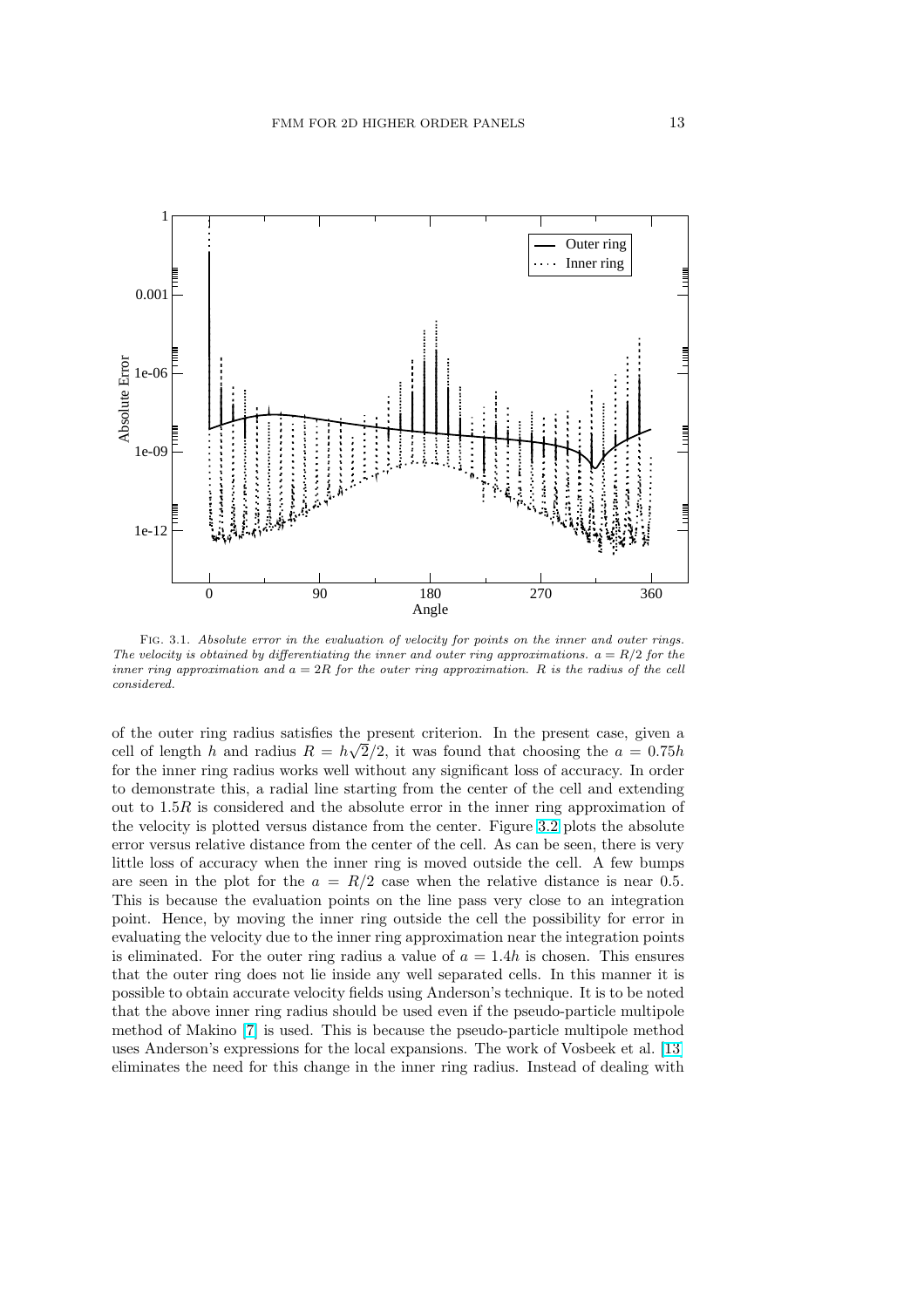

FIG. 3.1. Absolute error in the evaluation of velocity for points on the inner and outer rings. The velocity is obtained by differentiating the inner and outer ring approximations.  $a = R/2$  for the inner ring approximation and  $a = 2R$  for the outer ring approximation. R is the radius of the cell considered.

of the outer ring radius satisfies the present criterion. In the present case, given a cell of length h and radius  $R = h\sqrt{2}/2$ , it was found that choosing the  $a = 0.75h$ for the inner ring radius works well without any significant loss of accuracy. In order to demonstrate this, a radial line starting from the center of the cell and extending out to  $1.5R$  is considered and the absolute error in the inner ring approximation of the velocity is plotted versus distance from the center. Figure 3.2 plots the absolute error versus relative distance from the center of the cell. As can be seen, there is very little loss of accuracy when the inner ring is moved outside the cell. A few bumps are seen in the plot for the  $a = R/2$  case when the relative distance is near 0.5. This is because the evaluation points on the line pass very c[lose](#page-2-0) to an integration point. Hence, by moving the inner ring outside the cell the possibility for error in evaluating the velocity due to the inner ring approximation near the integration points is eliminated. For the outer ring radius a value of  $a = 1.4h$  is chosen. This ensures that the outer ring does not lie inside any well separated cells. In this manner it is possible to obtain accurate velocity fields using Anderson's technique. It is to be noted that the above inner ring radius should be used even if the pseudo-particle multipole method of Makino [7] is used. This is because the pseudo-particle multipole method uses Anderson's expressions for the local expansions. The work of Vosbeek et al. [13] eliminates the need for this change in the inner ring radius. Instead of dealing with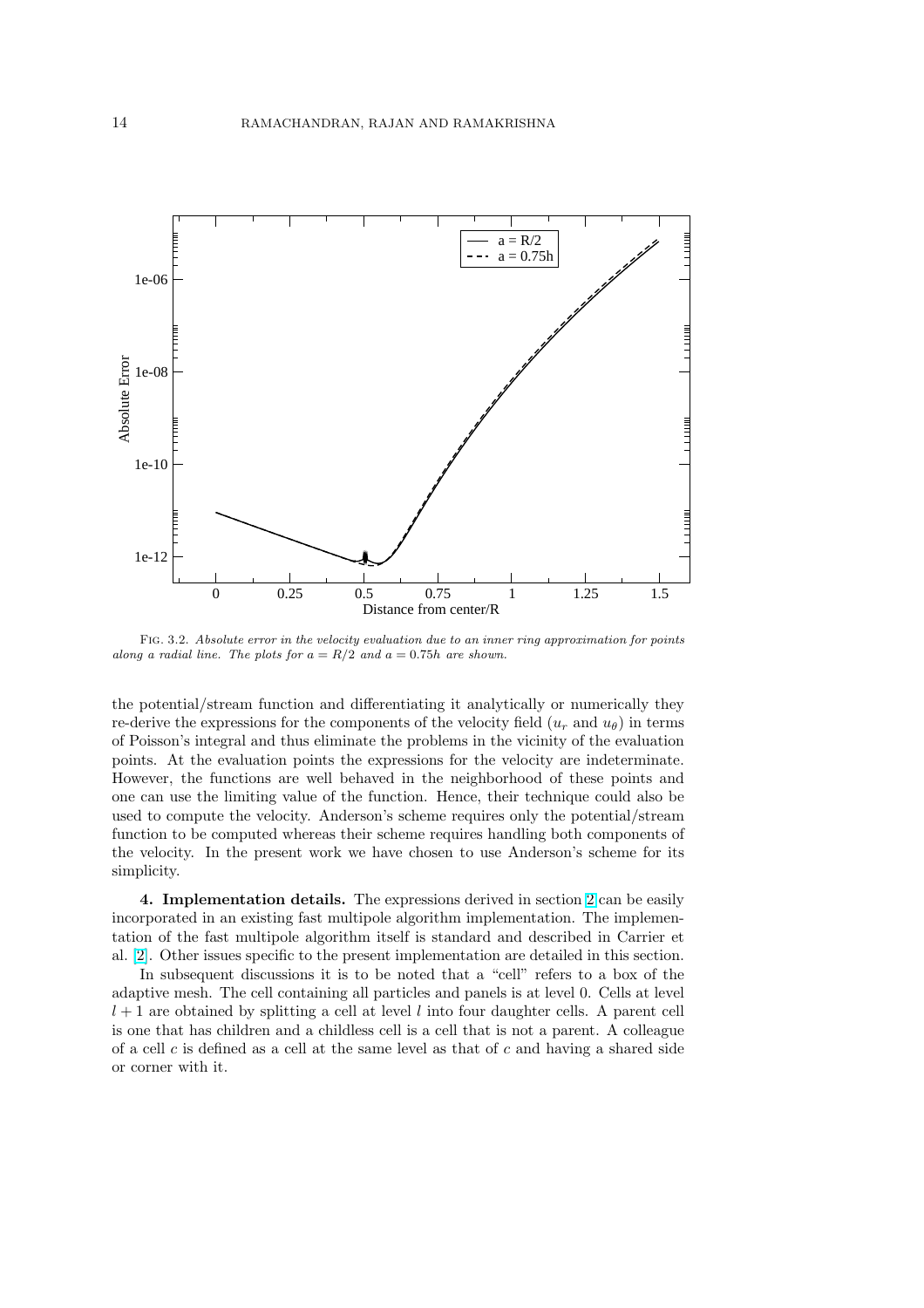

Fig. 3.2. Absolute error in the velocity evaluation due to an inner ring approximation for points along a radial line. The plots for  $a = R/2$  and  $a = 0.75h$  are shown.

the potential/stream function and differentiating it analytically or numerically they re-derive the expressions for the components of the velocity field  $(u_r$  and  $u_\theta)$  in terms of Poisson's integral and thus eliminate the problems in the vicinity of the evaluation points. At the evaluation points the expressions for the velocity are indeterminate. However, the functions are well behaved in the neighborhood of these points and one can use the limiting value of the function. Hence, their technique could also be used to compute the velocity. Anderson's scheme requires only the potential/stream function to be computed whereas their scheme requires handling both components of the velocity. In the present work we have chosen to use Anderson's scheme for its simplicity.

4. Implementation details. The expressions derived in section 2 can be easily incorporated in an existing fast multipole algorithm implementation. The implementation of the fast multipole algorithm itself is standard and described in Carrier et al. [2]. Other issues specific to the present implementation are detailed in this section.

In subsequent discussions it is to be noted that a "cell" refers t[o](#page-1-0) a box of the adaptive mesh. The cell containing all particles and panels is at level 0. Cells at level  $l + 1$  are obtained by splitting a cell at level l into four daughter cells. A parent cell is [one](#page-23-0) that has children and a childless cell is a cell that is not a parent. A colleague of a cell  $c$  is defined as a cell at the same level as that of  $c$  and having a shared side or corner with it.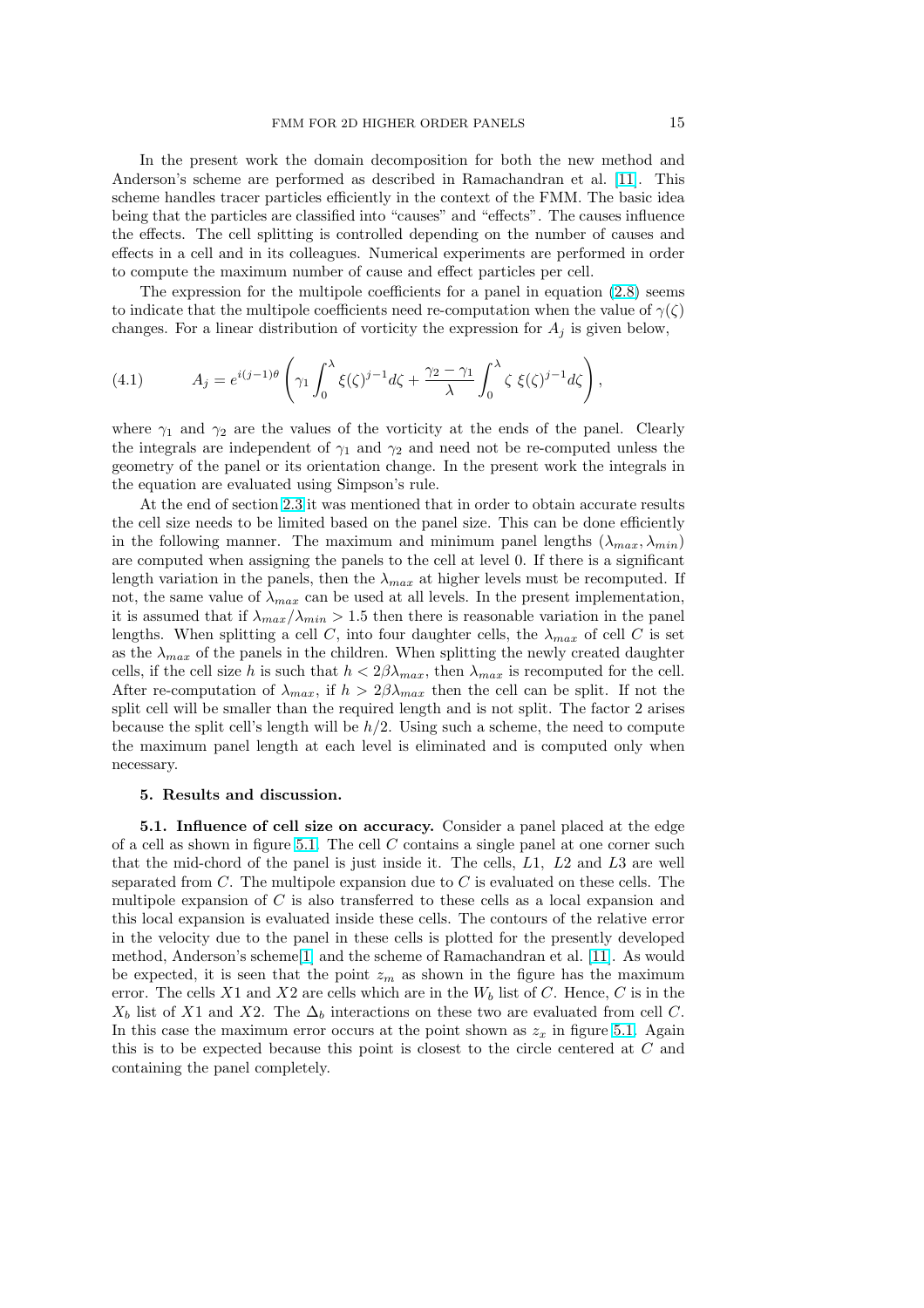<span id="page-14-0"></span>In the present work the domain decomposition for both the new method and Anderson's scheme are performed as described in Ramachandran et al. [11]. This scheme handles tracer particles efficiently in the context of the FMM. The basic idea being that the particles are classified into "causes" and "effects". The causes influence the effects. The cell splitting is controlled depending on the number of causes and effects in a cell and in its colleagues. Numerical experiments are performe[d in](#page-23-0) order to compute the maximum number of cause and effect particles per cell.

The expression for the multipole coefficients for a panel in equation (2.8) seems to indicate that the multipole coefficients need re-computation when the value of  $\gamma(\zeta)$ changes. For a linear distribution of vorticity the expression for  $A_j$  is given below,

(4.1) 
$$
A_j = e^{i(j-1)\theta} \left( \gamma_1 \int_0^{\lambda} \xi(\zeta)^{j-1} d\zeta + \frac{\gamma_2 - \gamma_1}{\lambda} \int_0^{\lambda} \zeta \xi(\zeta)^{j-1} d\zeta \right),
$$

where  $\gamma_1$  and  $\gamma_2$  are the values of the vorticity at the ends of the panel. Clearly the integrals are independent of  $\gamma_1$  and  $\gamma_2$  and need not be re-computed unless the geometry of the panel or its orientation change. In the present work the integrals in the equation are evaluated using Simpson's rule.

At the end of section 2.3 it was mentioned that in order to obtain accurate results the cell size needs to be limited based on the panel size. This can be done efficiently in the following manner. The maximum and minimum panel lengths  $(\lambda_{max}, \lambda_{min})$ are computed when assigning the panels to the cell at level 0. If there is a significant length variation in the p[anels](#page-4-0), then the  $\lambda_{max}$  at higher levels must be recomputed. If not, the same value of  $\lambda_{max}$  can be used at all levels. In the present implementation, it is assumed that if  $\lambda_{max}/\lambda_{min} > 1.5$  then there is reasonable variation in the panel lengths. When splitting a cell C, into four daughter cells, the  $\lambda_{max}$  of cell C is set as the  $\lambda_{max}$  of the panels in the children. When splitting the newly created daughter cells, if the cell size h is such that  $h < 2\beta\lambda_{max}$ , then  $\lambda_{max}$  is recomputed for the cell. After re-computation of  $\lambda_{max}$ , if  $h > 2\beta\lambda_{max}$  then the cell can be split. If not the split cell will be smaller than the required length and is not split. The factor 2 arises because the split cell's length will be  $h/2$ . Using such a scheme, the need to compute the maximum panel length at each level is eliminated and is computed only when necessary.

## 5. Results and discussion.

5.1. Influence of cell size on accuracy. Consider a panel placed at the edge of a cell as shown in figure 5.1. The cell  $C$  contains a single panel at one corner such that the mid-chord of the panel is just inside it. The cells, L1, L2 and L3 are well separated from  $C$ . The multipole expansion due to  $C$  is evaluated on these cells. The multipole expansion of  $C$  is also transferred to these cells as a local expansion and this local expansion is eval[uate](#page-2-0)d inside these cells. The contours of the relative error in the velocity due to the panel in these cells is plotted for the presently developed method, Anderson's scheme[1] and the scheme of Ramachandran et al. [11]. As would be expected, it is seen that the point  $z_m$  as shown in the figure has the maximum error. The cells X1 and X2 are cells which are in the  $W_b$  list of C. Hence, C is in the  $X_b$  list of X1 and X2. The  $\Delta_b$  interactions on these two are evaluated from cell C. In this case the maximum e[rr](#page-23-0)or occurs at the point shown as  $z_x$  in fig[ure](#page-23-0) 5.1. Again this is to be expected because this point is closest to the circle centered at C and containing the panel completely.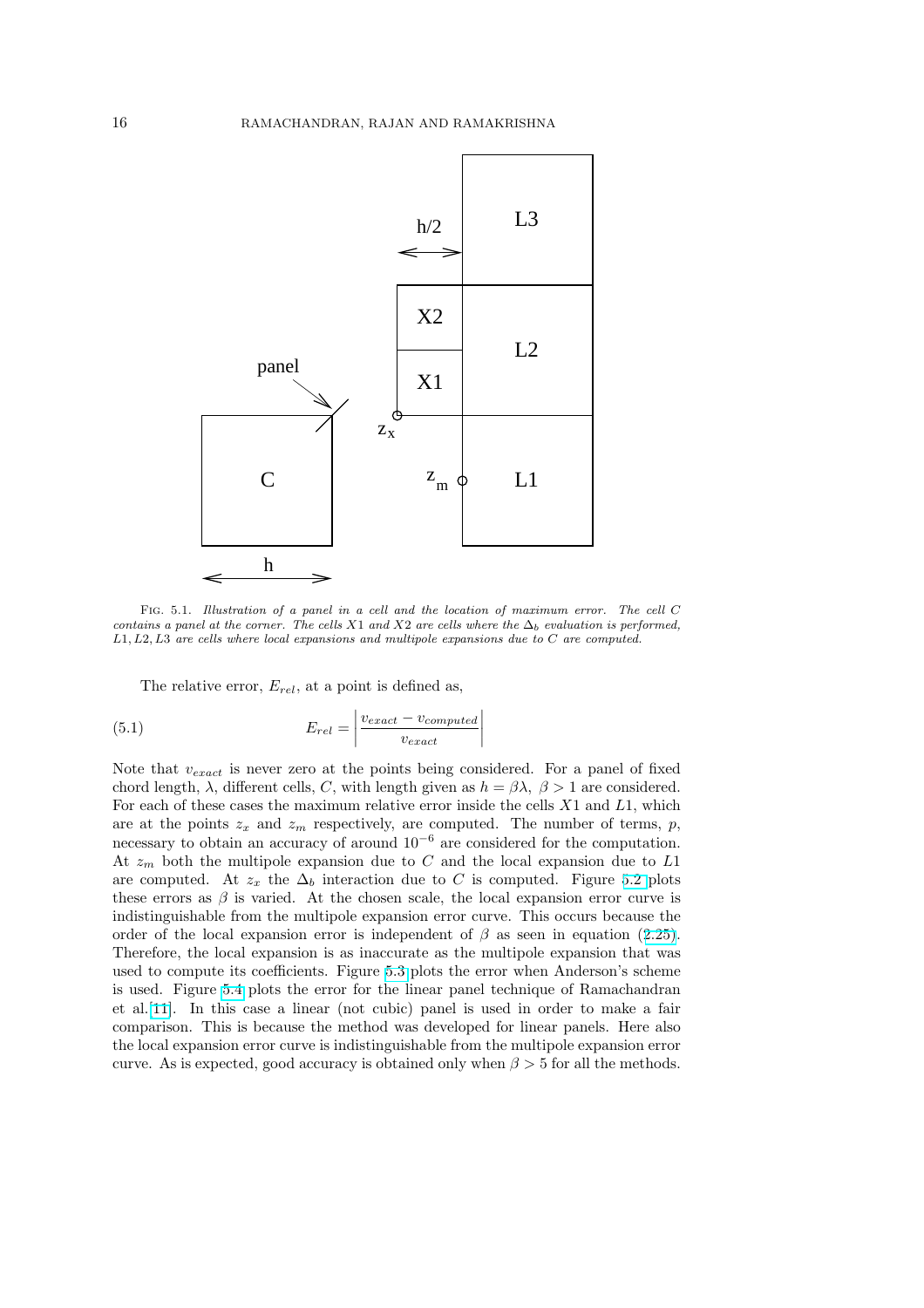<span id="page-15-0"></span>

Fig. 5.1. Illustration of a panel in a cell and the location of maximum error. The cell C contains a panel at the corner. The cells X1 and X2 are cells where the  $\Delta_b$  evaluation is performed, L1, L2, L3 are cells where local expansions and multipole expansions due to C are computed.

The relative error,  $E_{rel}$ , at a point is defined as,

(5.1) 
$$
E_{rel} = \left| \frac{v_{exact} - v_{computed}}{v_{exact}} \right|
$$

Note that  $v_{exact}$  is never zero at the points being considered. For a panel of fixed chord length,  $\lambda$ , different cells, C, with length given as  $h = \beta \lambda$ ,  $\beta > 1$  are considered. For each of these cases the maximum relative error inside the cells  $X1$  and  $L1$ , which are at the points  $z_x$  and  $z_m$  respectively, are computed. The number of terms, p, necessary to obtain an accuracy of around 10<sup>−</sup><sup>6</sup> are considered for the computation. At  $z_m$  both the multipole expansion due to C and the local expansion due to L1 are computed. At  $z_x$  the  $\Delta_b$  interaction due to C is computed. Figure 5.2 plots these errors as  $\beta$  is varied. At the chosen scale, the local expansion error curve is indistinguishable from the multipole expansion error curve. This occurs because the order of the local expansion error is independent of  $\beta$  as seen in equation (2.25). Therefore, the local expansion is as inaccurate as the multipole expansion [that](#page-2-0) was used to compute its coefficients. Figure 5.3 plots the error when Anderson's scheme is used. Figure 5.4 plots the error for the linear panel technique of Ramachandran et al.[11]. In this case a linear (not cubic) panel is used in order to make [a fair](#page-8-0) comparison. This is because the method was developed for linear panels. Here also the local expansion error curve is indistin[guis](#page-6-0)hable from the multipole expansion error curve. As is exp[ecte](#page-8-0)d, good accuracy is obtained only when  $\beta > 5$  for all the methods.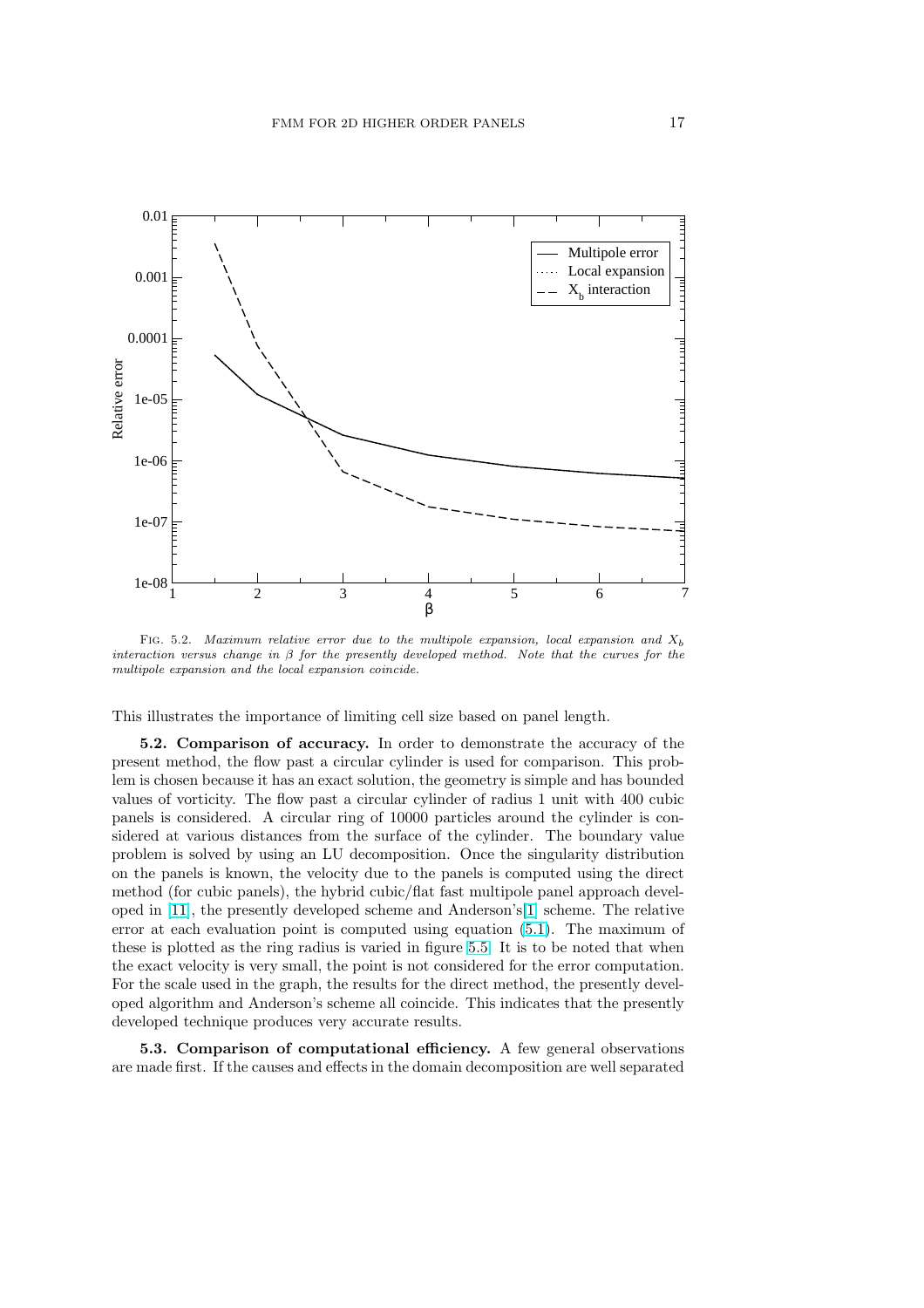

FIG. 5.2. Maximum relative error due to the multipole expansion, local expansion and  $X<sub>b</sub>$ interaction versus change in  $\beta$  for the presently developed method. Note that the curves for the multipole expansion and the local expansion coincide.

This illustrates the importance of limiting cell size based on panel length.

5.2. Comparison of accuracy. In order to demonstrate the accuracy of the present method, the flow past a circular cylinder is used for comparison. This problem is chosen because it has an exact solution, the geometry is simple and has bounded values of vorticity. The flow past a circular cylinder of radius 1 unit with 400 cubic panels is considered. A circular ring of 10000 particles around the cylinder is considered at various distances from the surface of the cylinder. The boundary value problem is solved by using an LU decomposition. Once the singularity distribution on the panels is known, the velocity due to the panels is computed using the direct method (for cubic panels), the hybrid cubic/flat fast multipole panel approach developed in [11], the presently developed scheme and Anderson's[1] scheme. The relative error at each evaluation point is computed using equation (5.1). The maximum of these is plotted as the ring radius is varied in figure 5.5. It is to be noted that when the exact velocity is very small, the point is not considered for the error computation. For the [scal](#page-23-0)e used in the graph, the results for the direct met[hod](#page-23-0), the presently developed algorithm and Anderson's scheme all coincide. This ind[icate](#page-15-0)s that the presently developed technique produces very accurate results.

5.3. Comparison of computational efficiency. A few general observations are made first. If the causes and effects in the domain decomposition are well separated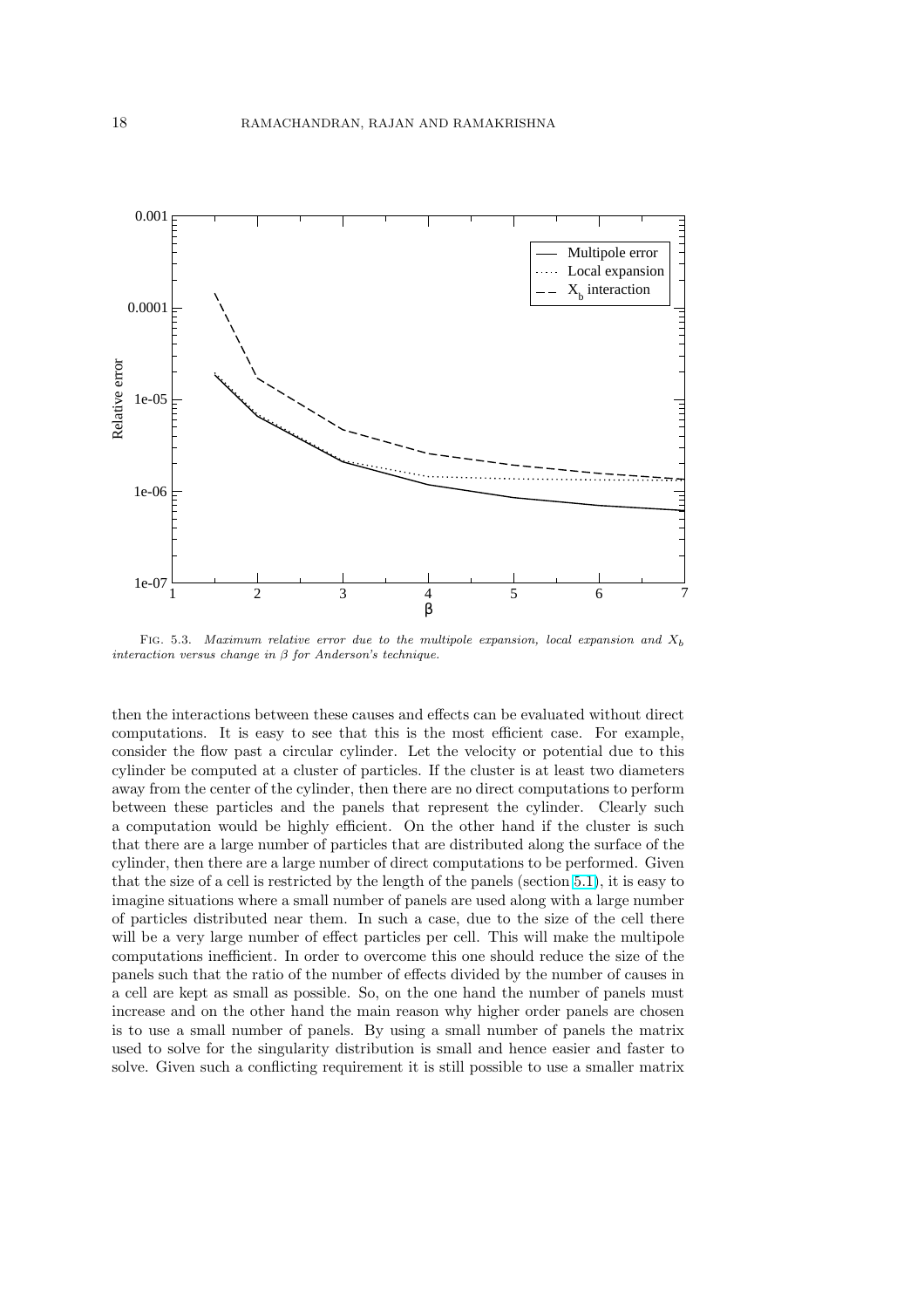

FIG. 5.3. Maximum relative error due to the multipole expansion, local expansion and  $X<sub>b</sub>$ interaction versus change in  $\beta$  for Anderson's technique.

then the interactions between these causes and effects can be evaluated without direct computations. It is easy to see that this is the most efficient case. For example, consider the flow past a circular cylinder. Let the velocity or potential due to this cylinder be computed at a cluster of particles. If the cluster is at least two diameters away from the center of the cylinder, then there are no direct computations to perform between these particles and the panels that represent the cylinder. Clearly such a computation would be highly efficient. On the other hand if the cluster is such that there are a large number of particles that are distributed along the surface of the cylinder, then there are a large number of direct computations to be performed. Given that the size of a cell is restricted by the length of the panels (section 5.1), it is easy to imagine situations where a small number of panels are used along with a large number of particles distributed near them. In such a case, due to the size of the cell there will be a very large number of effect particles per cell. This will make the multipole computations inefficient. In order to overcome this one should redu[ce th](#page-14-0)e size of the panels such that the ratio of the number of effects divided by the number of causes in a cell are kept as small as possible. So, on the one hand the number of panels must increase and on the other hand the main reason why higher order panels are chosen is to use a small number of panels. By using a small number of panels the matrix used to solve for the singularity distribution is small and hence easier and faster to solve. Given such a conflicting requirement it is still possible to use a smaller matrix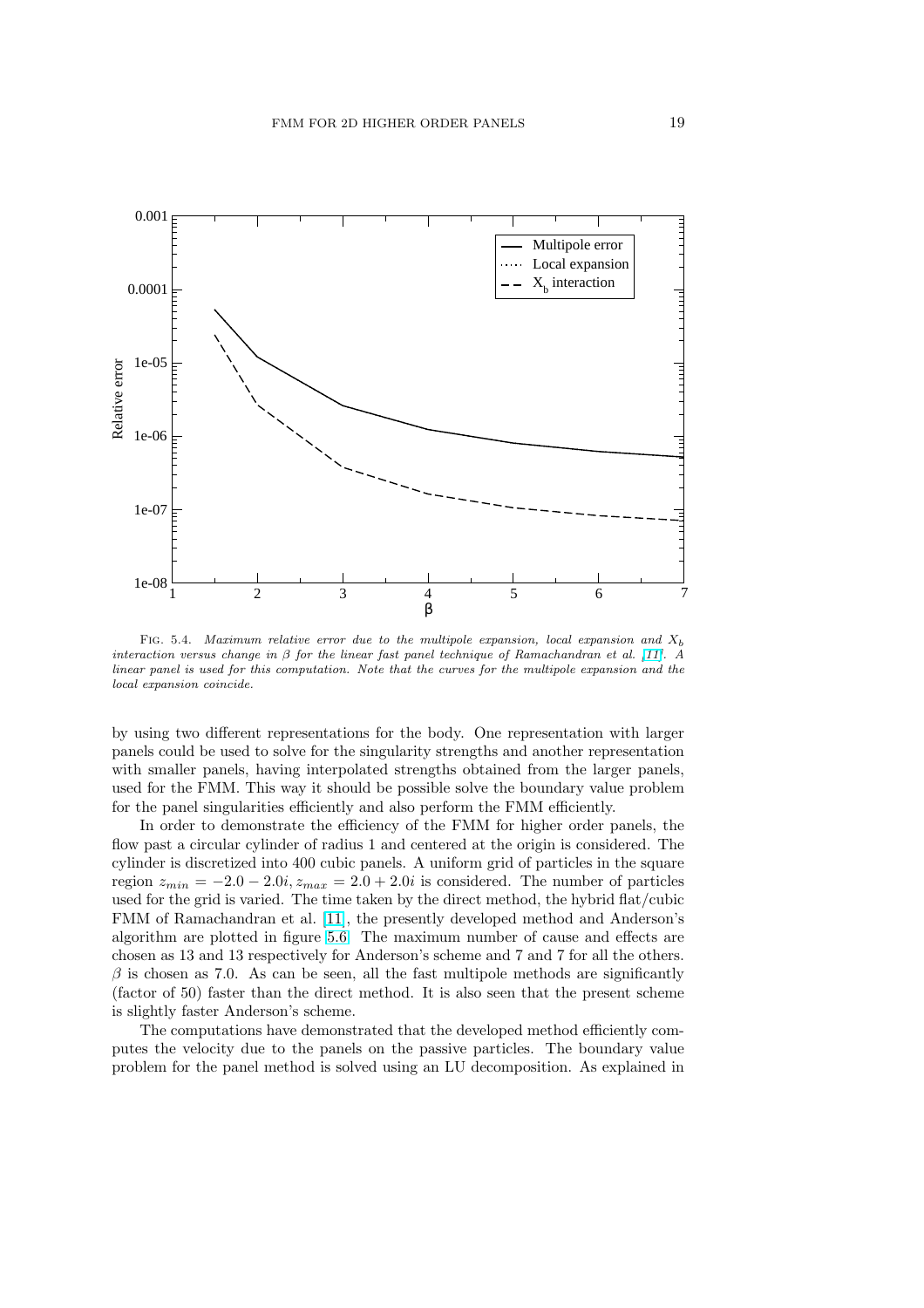

FIG. 5.4. Maximum relative error due to the multipole expansion, local expansion and  $X<sub>b</sub>$ interaction versus change in  $\beta$  for the linear fast panel technique of Ramachandran et al. [11]. A linear panel is used for this computation. Note that the curves for the multipole expansion and the local expansion coincide.

by using two different representations for the body. One representation with [lar](#page-23-0)ger panels could be used to solve for the singularity strengths and another representation with smaller panels, having interpolated strengths obtained from the larger panels, used for the FMM. This way it should be possible solve the boundary value problem for the panel singularities efficiently and also perform the FMM efficiently.

In order to demonstrate the efficiency of the FMM for higher order panels, the flow past a circular cylinder of radius 1 and centered at the origin is considered. The cylinder is discretized into 400 cubic panels. A uniform grid of particles in the square region  $z_{min} = -2.0 - 2.0i$ ,  $z_{max} = 2.0 + 2.0i$  is considered. The number of particles used for the grid is varied. The time taken by the direct method, the hybrid flat/cubic FMM of Ramachandran et al. [11], the presently developed method and Anderson's algorithm are plotted in figure 5.6. The maximum number of cause and effects are chosen as 13 and 13 respectively for Anderson's scheme and 7 and 7 for all the others.  $\beta$  is chosen as 7.0. As can be seen, all the fast multipole methods are significantly (factor of 50) faster than the d[irec](#page-23-0)t method. It is also seen that the present scheme is slightly faster Anderson's sch[eme](#page-20-0).

The computations have demonstrated that the developed method efficiently computes the velocity due to the panels on the passive particles. The boundary value problem for the panel method is solved using an LU decomposition. As explained in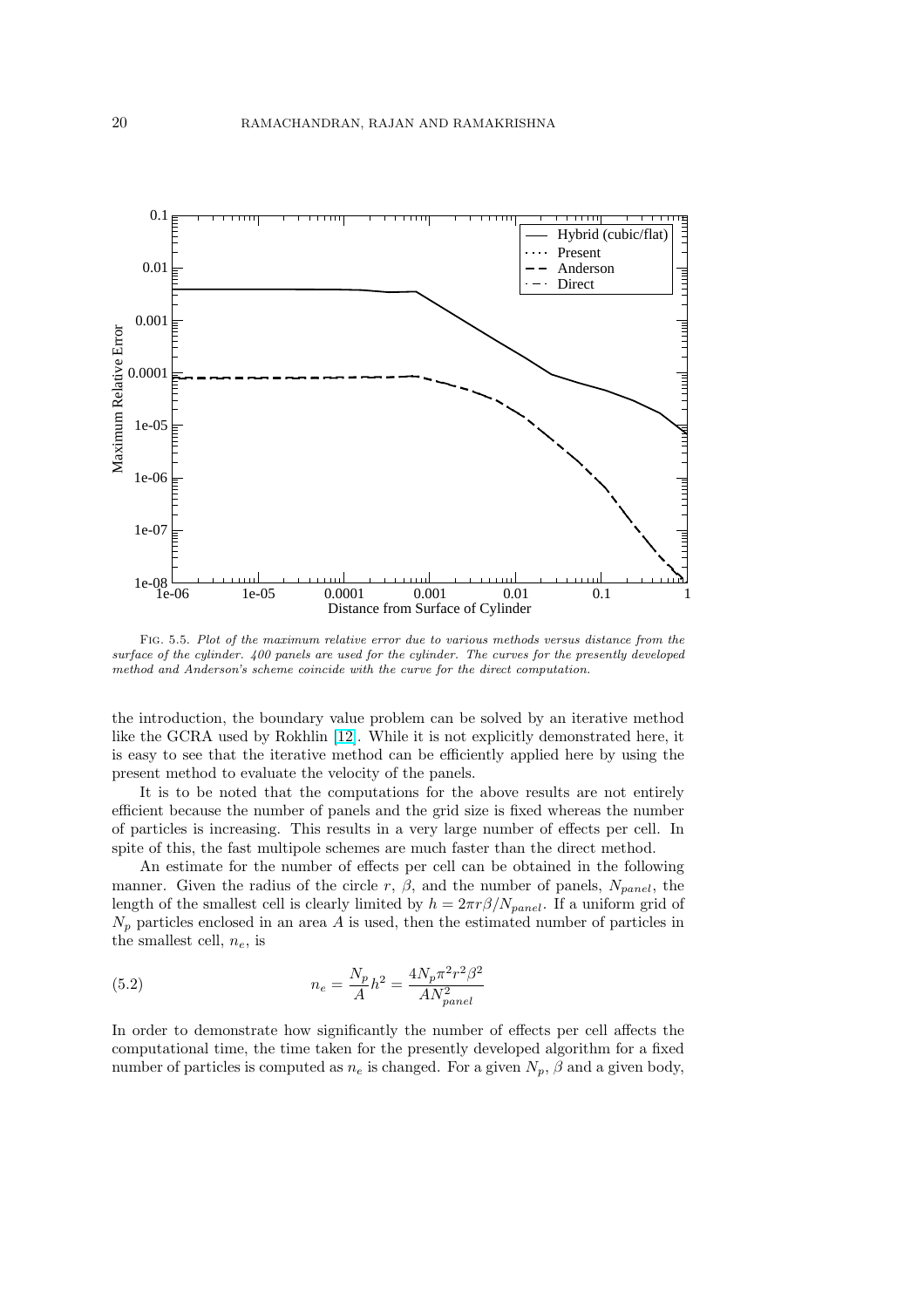

Fig. 5.5. Plot of the maximum relative error due to various methods versus distance from the surface of the cylinder. 400 panels are used for the cylinder. The curves for the presently developed method and Anderson's scheme coincide with the curve for the direct computation.

the introduction, the boundary value problem can be solved by an iterative method like the GCRA used by Rokhlin [12]. While it is not explicitly demonstrated here, it is easy to see that the iterative method can be efficiently applied here by using the present method to evaluate the velocity of the panels.

It is to be noted that the computations for the above results are not entirely efficient because the number of [pane](#page-23-0)ls and the grid size is fixed whereas the number of particles is increasing. This results in a very large number of effects per cell. In spite of this, the fast multipole schemes are much faster than the direct method.

An estimate for the number of effects per cell can be obtained in the following manner. Given the radius of the circle r,  $\beta$ , and the number of panels,  $N_{panel}$ , the length of the smallest cell is clearly limited by  $h = 2\pi r \beta / N_{panel}$ . If a uniform grid of  $N_p$  particles enclosed in an area A is used, then the estimated number of particles in the smallest cell,  $n_e$ , is

(5.2) 
$$
n_e = \frac{N_p}{A}h^2 = \frac{4N_p\pi^2r^2\beta^2}{AN_{panel}^2}
$$

In order to demonstrate how significantly the number of effects per cell affects the computational time, the time taken for the presently developed algorithm for a fixed number of particles is computed as  $n_e$  is changed. For a given  $N_p$ ,  $\beta$  and a given body,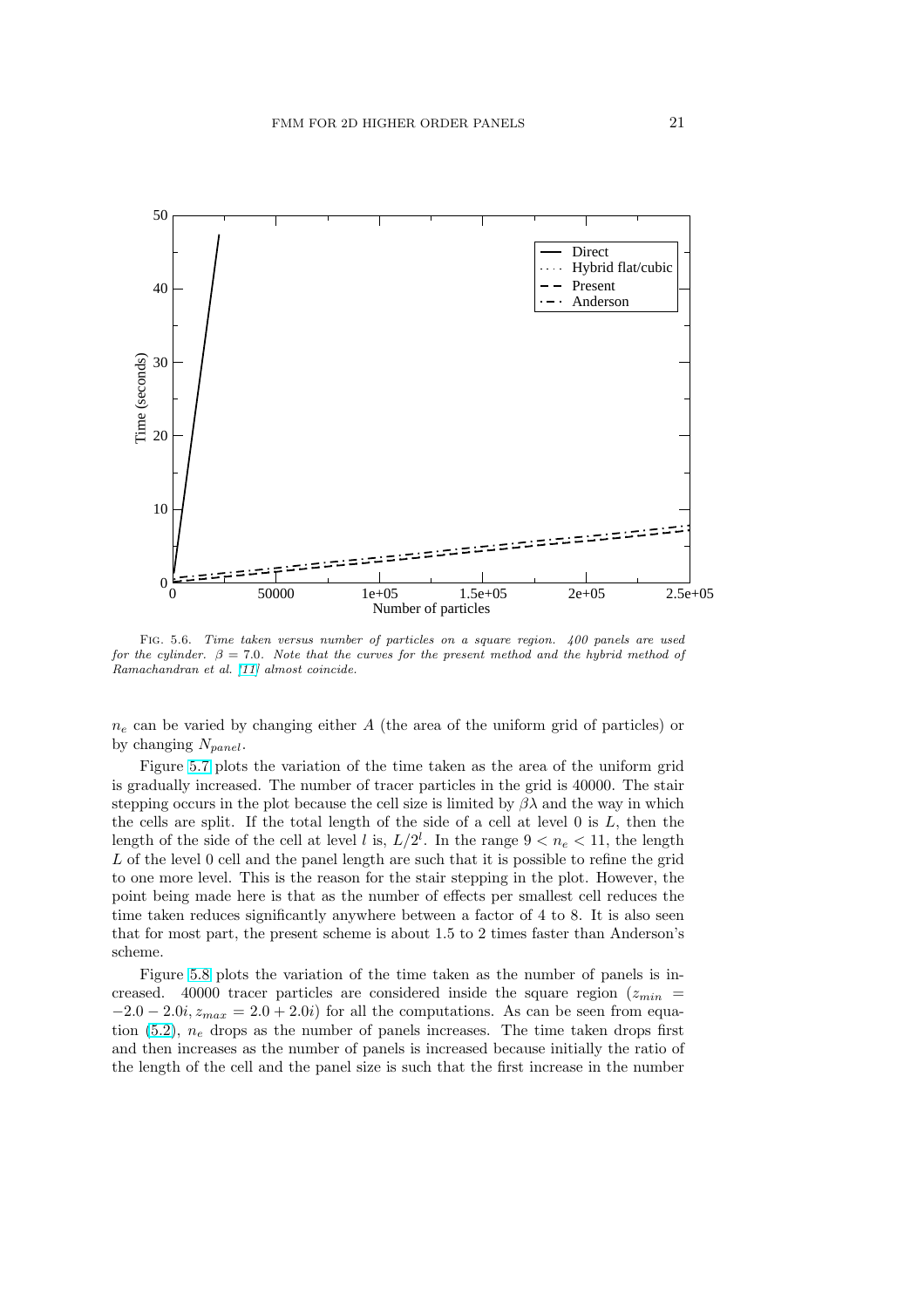<span id="page-20-0"></span>

Fig. 5.6. Time taken versus number of particles on a square region. 400 panels are used for the cylinder.  $\beta = 7.0$ . Note that the curves for the present method and the hybrid method of Ramachandran et al. [11] almost coincide.

 $n_e$  can be varied by changing either A (the area of the uniform grid of particles) or by changing  $N_{panel}$ [.](#page-23-0)

Figure 5.7 plots the variation of the time taken as the area of the uniform grid is gradually increased. The number of tracer particles in the grid is 40000. The stair stepping occurs in the plot because the cell size is limited by  $\beta\lambda$  and the way in which the cells are split. If the total length of the side of a cell at level 0 is L, then the length of t[he si](#page-21-0)de of the cell at level l is,  $L/2^l$ . In the range  $9 < n_e < 11$ , the length L of the level 0 cell and the panel length are such that it is possible to refine the grid to one more level. This is the reason for the stair stepping in the plot. However, the point being made here is that as the number of effects per smallest cell reduces the time taken reduces significantly anywhere between a factor of 4 to 8. It is also seen that for most part, the present scheme is about 1.5 to 2 times faster than Anderson's scheme.

Figure 5.8 plots the variation of the time taken as the number of panels is increased. 40000 tracer particles are considered inside the square region  $(z_{min} =$  $-2.0 - 2.0i$ ,  $z_{max} = 2.0 + 2.0i$  for all the computations. As can be seen from equation  $(5.2)$ ,  $n_e$  drops as the number of panels increases. The time taken drops first and then i[ncrea](#page-22-0)ses as the number of panels is increased because initially the ratio of the length of the cell and the panel size is such that the first increase in the number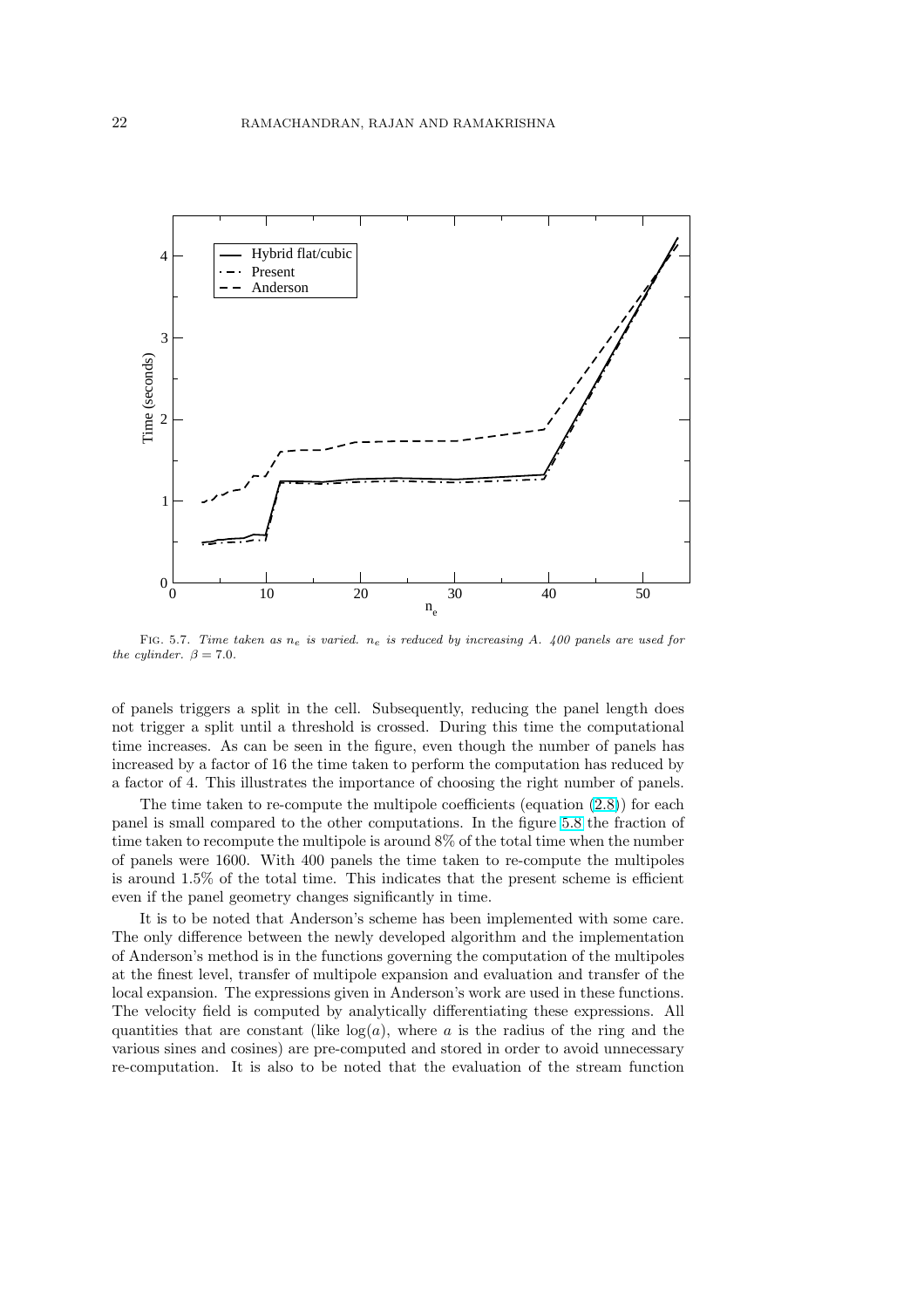<span id="page-21-0"></span>

FIG. 5.7. Time taken as  $n_e$  is varied.  $n_e$  is reduced by increasing A. 400 panels are used for the cylinder.  $\beta = 7.0$ .

of panels triggers a split in the cell. Subsequently, reducing the panel length does not trigger a split until a threshold is crossed. During this time the computational time increases. As can be seen in the figure, even though the number of panels has increased by a factor of 16 the time taken to perform the computation has reduced by a factor of 4. This illustrates the importance of choosing the right number of panels.

The time taken to re-compute the multipole coefficients (equation  $(2.8)$ ) for each panel is small compared to the other computations. In the figure 5.8 the fraction of time taken to recompute the multipole is around 8% of the total time when the number of panels were 1600. With 400 panels the time taken to re-compute the multipoles is around 1.5% of the total time. This indicates that the present sche[me i](#page-3-0)s efficient even if the panel geometry changes significantly in time.

It is to be noted that Anderson's scheme has been implemented with some care. The only difference between the newly developed algorithm and the implementation of Anderson's method is in the functions governing the computation of the multipoles at the finest level, transfer of multipole expansion and evaluation and transfer of the local expansion. The expressions given in Anderson's work are used in these functions. The velocity field is computed by analytically differentiating these expressions. All quantities that are constant (like  $log(a)$ , where a is the radius of the ring and the various sines and cosines) are pre-computed and stored in order to avoid unnecessary re-computation. It is also to be noted that the evaluation of the stream function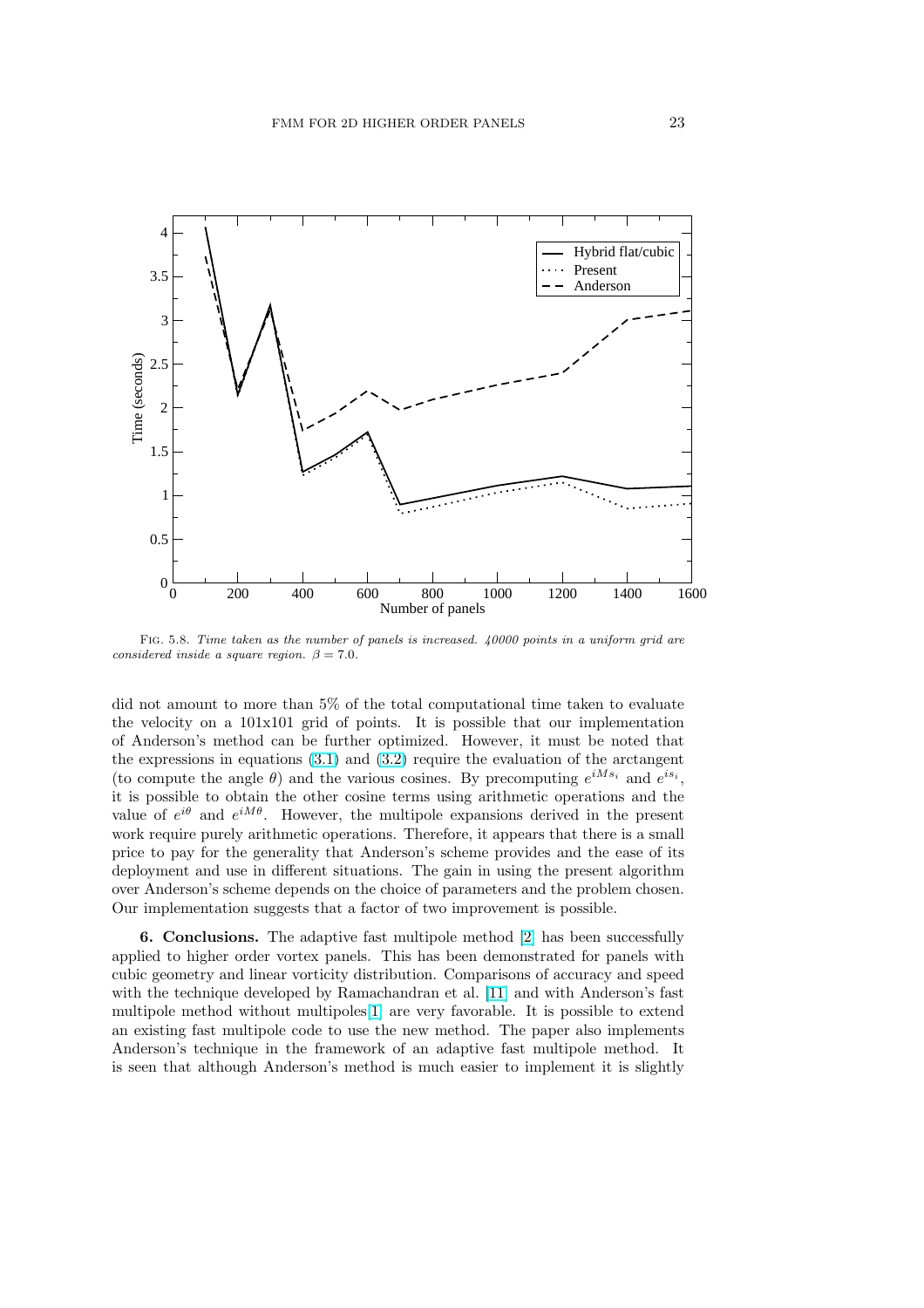<span id="page-22-0"></span>

FIG. 5.8. Time taken as the number of panels is increased. 40000 points in a uniform grid are considered inside a square region.  $\beta = 7.0$ .

did not amount to more than 5% of the total computational time taken to evaluate the velocity on a 101x101 grid of points. It is possible that our implementation of Anderson's method can be further optimized. However, it must be noted that the expressions in equations (3.1) and (3.2) require the evaluation of the arctangent (to compute the angle  $\theta$ ) and the various cosines. By precomputing  $e^{iM_{s_i}}$  and  $e^{is_i}$ , it is possible to obtain the other cosine terms using arithmetic operations and the value of  $e^{i\theta}$  and  $e^{iM\theta}$ . However, the multipole expansions derived in the present work require purely arithmeti[c op](#page-10-0)eratio[ns. T](#page-11-0)herefore, it appears that there is a small price to pay for the generality that Anderson's scheme provides and the ease of its deployment and use in different situations. The gain in using the present algorithm over Anderson's scheme depends on the choice of parameters and the problem chosen. Our implementation suggests that a factor of two improvement is possible.

6. Conclusions. The adaptive fast multipole method [2] has been successfully applied to higher order vortex panels. This has been demonstrated for panels with cubic geometry and linear vorticity distribution. Comparisons of accuracy and speed with the technique developed by Ramachandran et al. [11] and with Anderson's fast multipole method without multipoles[1] are very favorable. [It](#page-23-0) is possible to extend an existing fast multipole code to use the new method. The paper also implements Anderson's technique in the framework of an adaptive fast multipole method. It is seen that although Anderson's method is much easi[er t](#page-23-0)o implement it is slightly